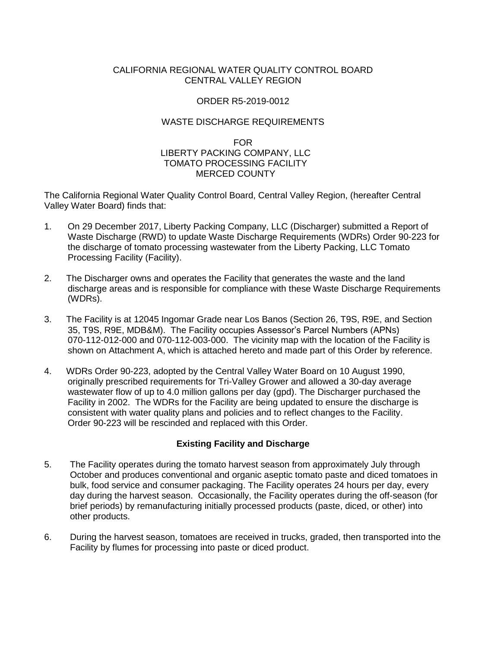## CALIFORNIA REGIONAL WATER QUALITY CONTROL BOARD CENTRAL VALLEY REGION

## ORDER R5-2019-0012

## WASTE DISCHARGE REQUIREMENTS

## FOR LIBERTY PACKING COMPANY, LLC TOMATO PROCESSING FACILITY MERCED COUNTY

The California Regional Water Quality Control Board, Central Valley Region, (hereafter Central Valley Water Board) finds that:

- 1. On 29 December 2017, Liberty Packing Company, LLC (Discharger) submitted a Report of Waste Discharge (RWD) to update Waste Discharge Requirements (WDRs) Order 90-223 for the discharge of tomato processing wastewater from the Liberty Packing, LLC Tomato Processing Facility (Facility).
- 2. The Discharger owns and operates the Facility that generates the waste and the land discharge areas and is responsible for compliance with these Waste Discharge Requirements (WDRs).
- 3. The Facility is at 12045 Ingomar Grade near Los Banos (Section 26, T9S, R9E, and Section 35, T9S, R9E, MDB&M). The Facility occupies Assessor's Parcel Numbers (APNs) 070-112-012-000 and 070-112-003-000. The vicinity map with the location of the Facility is shown on Attachment A, which is attached hereto and made part of this Order by reference.
- 4. WDRs Order 90-223, adopted by the Central Valley Water Board on 10 August 1990, originally prescribed requirements for Tri-Valley Grower and allowed a 30-day average wastewater flow of up to 4.0 million gallons per day (gpd). The Discharger purchased the Facility in 2002. The WDRs for the Facility are being updated to ensure the discharge is consistent with water quality plans and policies and to reflect changes to the Facility. Order 90-223 will be rescinded and replaced with this Order.

# **Existing Facility and Discharge**

- 5. The Facility operates during the tomato harvest season from approximately July through October and produces conventional and organic aseptic tomato paste and diced tomatoes in bulk, food service and consumer packaging. The Facility operates 24 hours per day, every day during the harvest season. Occasionally, the Facility operates during the off-season (for brief periods) by remanufacturing initially processed products (paste, diced, or other) into other products.
- 6. During the harvest season, tomatoes are received in trucks, graded, then transported into the Facility by flumes for processing into paste or diced product.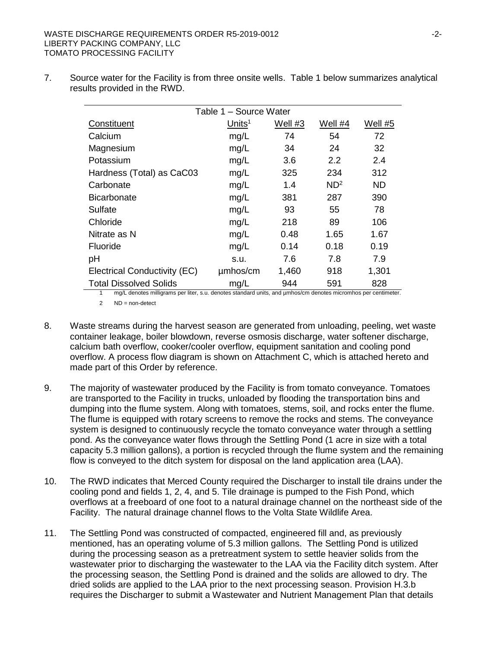| Table 1 - Source Water       |                    |         |                 |           |  |  |  |
|------------------------------|--------------------|---------|-----------------|-----------|--|--|--|
| Constituent                  | Units <sup>1</sup> | Well #3 | Well #4         | Well #5   |  |  |  |
| Calcium                      | mg/L               | 74      | 54              | 72        |  |  |  |
| Magnesium                    | mg/L               | 34      | 24              | 32        |  |  |  |
| Potassium                    | mg/L               | 3.6     | 2.2             | 2.4       |  |  |  |
| Hardness (Total) as CaC03    | mg/L               | 325     | 234             | 312       |  |  |  |
| Carbonate                    | mg/L               | 1.4     | ND <sup>2</sup> | <b>ND</b> |  |  |  |
| <b>Bicarbonate</b>           | mg/L               | 381     | 287             | 390       |  |  |  |
| Sulfate                      | mg/L               | 93      | 55              | 78        |  |  |  |
| Chloride                     | mg/L               | 218     | 89              | 106       |  |  |  |
| Nitrate as N                 | mg/L               | 0.48    | 1.65            | 1.67      |  |  |  |
| <b>Fluoride</b>              | mg/L               | 0.14    | 0.18            | 0.19      |  |  |  |
| pH                           | s.u.               | 7.6     | 7.8             | 7.9       |  |  |  |
| Electrical Conductivity (EC) | umhos/cm           | 1,460   | 918             | 1,301     |  |  |  |
| Total Dissolved Solids       | mg/L               | 944     | 591             | 828       |  |  |  |

7. Source water for the Facility is from three onsite wells. Table 1 below summarizes analytical results provided in the RWD.

1 mg/L denotes milligrams per liter, s.u. denotes standard units, and µmhos/cm denotes micromhos per centimeter.

2 ND = non-detect

- 8. Waste streams during the harvest season are generated from unloading, peeling, wet waste container leakage, boiler blowdown, reverse osmosis discharge, water softener discharge, calcium bath overflow, cooker/cooler overflow, equipment sanitation and cooling pond overflow. A process flow diagram is shown on Attachment C, which is attached hereto and made part of this Order by reference.
- 9. The majority of wastewater produced by the Facility is from tomato conveyance. Tomatoes are transported to the Facility in trucks, unloaded by flooding the transportation bins and dumping into the flume system. Along with tomatoes, stems, soil, and rocks enter the flume. The flume is equipped with rotary screens to remove the rocks and stems. The conveyance system is designed to continuously recycle the tomato conveyance water through a settling pond. As the conveyance water flows through the Settling Pond (1 acre in size with a total capacity 5.3 million gallons), a portion is recycled through the flume system and the remaining flow is conveyed to the ditch system for disposal on the land application area (LAA).
- 10. The RWD indicates that Merced County required the Discharger to install tile drains under the cooling pond and fields 1, 2, 4, and 5. Tile drainage is pumped to the Fish Pond, which overflows at a freeboard of one foot to a natural drainage channel on the northeast side of the Facility. The natural drainage channel flows to the Volta State Wildlife Area.
- 11. The Settling Pond was constructed of compacted, engineered fill and, as previously mentioned, has an operating volume of 5.3 million gallons. The Settling Pond is utilized during the processing season as a pretreatment system to settle heavier solids from the wastewater prior to discharging the wastewater to the LAA via the Facility ditch system. After the processing season, the Settling Pond is drained and the solids are allowed to dry. The dried solids are applied to the LAA prior to the next processing season. Provision H.3.b requires the Discharger to submit a Wastewater and Nutrient Management Plan that details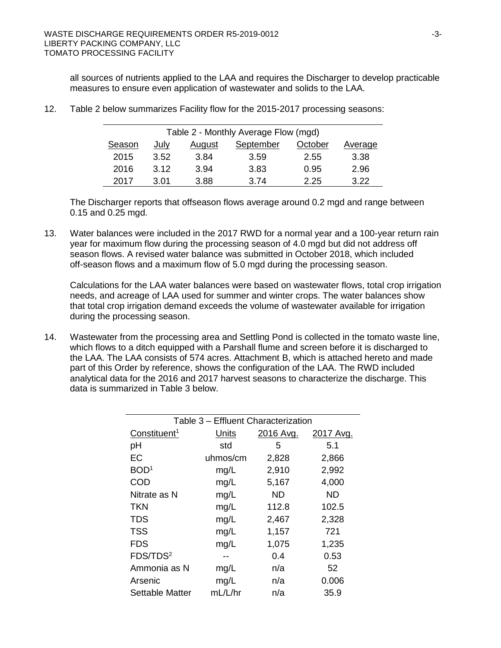all sources of nutrients applied to the LAA and requires the Discharger to develop practicable measures to ensure even application of wastewater and solids to the LAA.

| Table 2 - Monthly Average Flow (mgd) |      |        |           |         |         |  |  |  |
|--------------------------------------|------|--------|-----------|---------|---------|--|--|--|
| Season                               | July | August | September | October | Average |  |  |  |
| 2015                                 | 3.52 | 3.84   | 3.59      | 2.55    | 3.38    |  |  |  |
| 2016                                 | 3.12 | 3.94   | 3.83      | 0.95    | 2.96    |  |  |  |
| 2017                                 | 3.01 | 3.88   | 3.74      | 2.25    | 3.22    |  |  |  |

12. Table 2 below summarizes Facility flow for the 2015-2017 processing seasons:

The Discharger reports that offseason flows average around 0.2 mgd and range between 0.15 and 0.25 mgd.

13. Water balances were included in the 2017 RWD for a normal year and a 100-year return rain year for maximum flow during the processing season of 4.0 mgd but did not address off season flows. A revised water balance was submitted in October 2018, which included off-season flows and a maximum flow of 5.0 mgd during the processing season.

Calculations for the LAA water balances were based on wastewater flows, total crop irrigation needs, and acreage of LAA used for summer and winter crops. The water balances show that total crop irrigation demand exceeds the volume of wastewater available for irrigation during the processing season.

14. Wastewater from the processing area and Settling Pond is collected in the tomato waste line, which flows to a ditch equipped with a Parshall flume and screen before it is discharged to the LAA. The LAA consists of 574 acres. Attachment B, which is attached hereto and made part of this Order by reference, shows the configuration of the LAA. The RWD included analytical data for the 2016 and 2017 harvest seasons to characterize the discharge. This data is summarized in Table 3 below.

| Table 3 - Effluent Characterization |              |           |           |  |  |  |  |  |
|-------------------------------------|--------------|-----------|-----------|--|--|--|--|--|
| Constituent <sup>1</sup>            | <b>Units</b> | 2016 Avg. | 2017 Avg. |  |  |  |  |  |
| pH                                  | std          | 5         | 5.1       |  |  |  |  |  |
| EC                                  | uhmos/cm     | 2,828     | 2,866     |  |  |  |  |  |
| BOD <sup>1</sup>                    | mg/L         | 2,910     | 2,992     |  |  |  |  |  |
| COD                                 | mg/L         | 5,167     | 4,000     |  |  |  |  |  |
| Nitrate as N                        | mg/L         | ND.       | <b>ND</b> |  |  |  |  |  |
| <b>TKN</b>                          | mg/L         | 112.8     | 102.5     |  |  |  |  |  |
| <b>TDS</b>                          | mg/L         | 2,467     | 2,328     |  |  |  |  |  |
| <b>TSS</b>                          | mg/L         | 1,157     | 721       |  |  |  |  |  |
| <b>FDS</b>                          | mg/L         | 1,075     | 1,235     |  |  |  |  |  |
| FDS/TDS <sup>2</sup>                |              | 0.4       | 0.53      |  |  |  |  |  |
| Ammonia as N                        | mg/L         | n/a       | 52        |  |  |  |  |  |
| Arsenic                             | mg/L         | n/a       | 0.006     |  |  |  |  |  |
| <b>Settable Matter</b>              | mL/L/hr      | n/a       | 35.9      |  |  |  |  |  |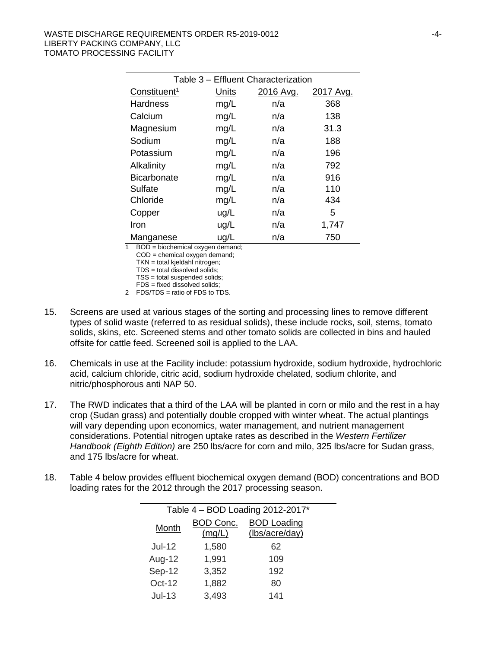| Table 3 - Effluent Characterization |       |           |           |  |  |  |
|-------------------------------------|-------|-----------|-----------|--|--|--|
| Constituent <sup>1</sup>            | Units | 2016 Avg. | 2017 Avg. |  |  |  |
| <b>Hardness</b>                     | mg/L  | n/a       | 368       |  |  |  |
| Calcium                             | mg/L  | n/a       | 138       |  |  |  |
| Magnesium                           | mg/L  | n/a       | 31.3      |  |  |  |
| Sodium                              | mg/L  | n/a       | 188       |  |  |  |
| Potassium                           | mg/L  | n/a       | 196       |  |  |  |
| Alkalinity                          | mg/L  | n/a       | 792       |  |  |  |
| <b>Bicarbonate</b>                  | mg/L  | n/a       | 916       |  |  |  |
| Sulfate                             | mg/L  | n/a       | 110       |  |  |  |
| Chloride                            | mg/L  | n/a       | 434       |  |  |  |
| Copper                              | ug/L  | n/a       | 5         |  |  |  |
| Iron                                | ug/L  | n/a       | 1,747     |  |  |  |
| Manganese                           | ug/L  | n/a       | 750       |  |  |  |

1 BOD = biochemical oxygen demand;

COD = chemical oxygen demand;

TKN = total kjeldahl nitrogen; TDS = total dissolved solids;

TSS = total suspended solids;

FDS = fixed dissolved solids;

2 FDS/TDS = ratio of FDS to TDS.

- 15. Screens are used at various stages of the sorting and processing lines to remove different types of solid waste (referred to as residual solids), these include rocks, soil, stems, tomato solids, skins, etc. Screened stems and other tomato solids are collected in bins and hauled offsite for cattle feed. Screened soil is applied to the LAA.
- 16. Chemicals in use at the Facility include: potassium hydroxide, sodium hydroxide, hydrochloric acid, calcium chloride, citric acid, sodium hydroxide chelated, sodium chlorite, and nitric/phosphorous anti NAP 50.
- 17. The RWD indicates that a third of the LAA will be planted in corn or milo and the rest in a hay crop (Sudan grass) and potentially double cropped with winter wheat. The actual plantings will vary depending upon economics, water management, and nutrient management considerations. Potential nitrogen uptake rates as described in the *Western Fertilizer Handbook (Eighth Edition)* are 250 lbs/acre for corn and milo, 325 lbs/acre for Sudan grass, and 175 lbs/acre for wheat.
- 18. Table 4 below provides effluent biochemical oxygen demand (BOD) concentrations and BOD loading rates for the 2012 through the 2017 processing season.

| Table $4 - BOD$ Loading 2012-2017* |                            |                                      |  |  |  |  |
|------------------------------------|----------------------------|--------------------------------------|--|--|--|--|
| Month                              | <b>BOD Conc.</b><br>(mg/L) | <b>BOD</b> Loading<br>(lbs/acre/day) |  |  |  |  |
| $Jul-12$                           | 1,580                      | 62                                   |  |  |  |  |
| Aug-12                             | 1,991                      | 109                                  |  |  |  |  |
| Sep-12                             | 3,352                      | 192                                  |  |  |  |  |
| Oct-12                             | 1,882                      | 80                                   |  |  |  |  |
| $Jul-13$                           | 3,493                      | 141                                  |  |  |  |  |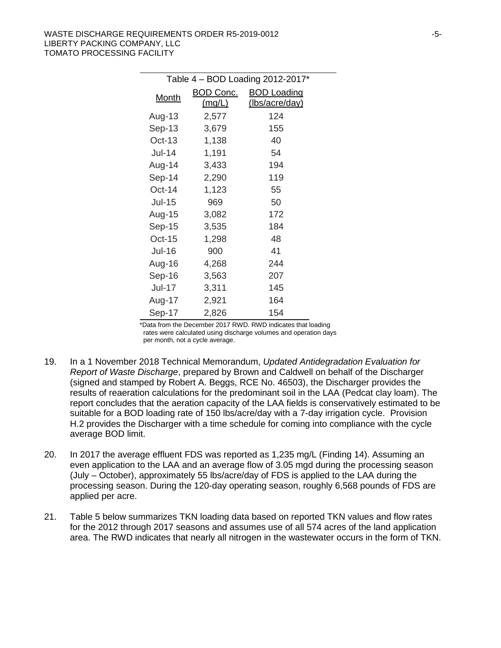| Table 4 - BOD Loading 2012-2017* |           |                       |  |  |  |  |
|----------------------------------|-----------|-----------------------|--|--|--|--|
| Month                            | BOD Conc. | <b>BOD Loading</b>    |  |  |  |  |
|                                  | (mg/L)    | <u>(Ibs/acre/day)</u> |  |  |  |  |
| Aug-13                           | 2,577     | 124                   |  |  |  |  |
| Sep-13                           | 3,679     | 155                   |  |  |  |  |
| $Oct-13$                         | 1,138     | 40                    |  |  |  |  |
| $Jul-14$                         | 1,191     | 54                    |  |  |  |  |
| Aug-14                           | 3,433     | 194                   |  |  |  |  |
| Sep-14                           | 2,290     | 119                   |  |  |  |  |
| Oct-14                           | 1,123     | 55                    |  |  |  |  |
| $Jul-15$                         | 969       | 50                    |  |  |  |  |
| Aug-15                           | 3,082     | 172                   |  |  |  |  |
| $Sep-15$                         | 3,535     | 184                   |  |  |  |  |
| Oct-15                           | 1,298     | 48                    |  |  |  |  |
| <b>Jul-16</b>                    | 900       | 41                    |  |  |  |  |
| Aug-16                           | 4,268     | 244                   |  |  |  |  |
| Sep-16                           | 3,563     | 207                   |  |  |  |  |
| $Jul-17$                         | 3,311     | 145                   |  |  |  |  |
| Aug-17                           | 2,921     | 164                   |  |  |  |  |
| Sep-17                           | 2,826     | 154                   |  |  |  |  |

\*Data from the December 2017 RWD. RWD indicates that loading rates were calculated using discharge volumes and operation days per month, not a cycle average.

- 19. In a 1 November 2018 Technical Memorandum, *Updated Antidegradation Evaluation for Report of Waste Discharge*, prepared by Brown and Caldwell on behalf of the Discharger (signed and stamped by Robert A. Beggs, RCE No. 46503), the Discharger provides the results of reaeration calculations for the predominant soil in the LAA (Pedcat clay loam). The report concludes that the aeration capacity of the LAA fields is conservatively estimated to be suitable for a BOD loading rate of 150 lbs/acre/day with a 7-day irrigation cycle. Provision H.2 provides the Discharger with a time schedule for coming into compliance with the cycle average BOD limit.
- 20. In 2017 the average effluent FDS was reported as 1,235 mg/L (Finding 14). Assuming an even application to the LAA and an average flow of 3.05 mgd during the processing season (July – October), approximately 55 lbs/acre/day of FDS is applied to the LAA during the processing season. During the 120-day operating season, roughly 6,568 pounds of FDS are applied per acre.
- 21. Table 5 below summarizes TKN loading data based on reported TKN values and flow rates for the 2012 through 2017 seasons and assumes use of all 574 acres of the land application area. The RWD indicates that nearly all nitrogen in the wastewater occurs in the form of TKN.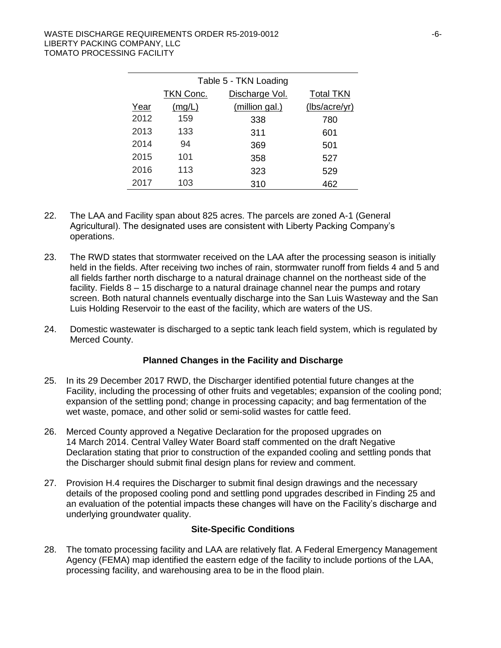| Table 5 - TKN Loading |           |                |                  |  |  |  |
|-----------------------|-----------|----------------|------------------|--|--|--|
|                       | TKN Conc. | Discharge Vol. | <b>Total TKN</b> |  |  |  |
| Year                  | (mg/L)    | (million gal.) | (lbs/acre/yr)    |  |  |  |
| 2012                  | 159       | 338            | 780              |  |  |  |
| 2013                  | 133       | 311            | 601              |  |  |  |
| 2014                  | 94        | 369            | 501              |  |  |  |
| 2015                  | 101       | 358            | 527              |  |  |  |
| 2016                  | 113       | 323            | 529              |  |  |  |
| 2017                  | 103       | 310            | 462              |  |  |  |

- 22. The LAA and Facility span about 825 acres. The parcels are zoned A-1 (General Agricultural). The designated uses are consistent with Liberty Packing Company's operations.
- 23. The RWD states that stormwater received on the LAA after the processing season is initially held in the fields. After receiving two inches of rain, stormwater runoff from fields 4 and 5 and all fields farther north discharge to a natural drainage channel on the northeast side of the facility. Fields 8 – 15 discharge to a natural drainage channel near the pumps and rotary screen. Both natural channels eventually discharge into the San Luis Wasteway and the San Luis Holding Reservoir to the east of the facility, which are waters of the US.
- 24. Domestic wastewater is discharged to a septic tank leach field system, which is regulated by Merced County.

# **Planned Changes in the Facility and Discharge**

- 25. In its 29 December 2017 RWD, the Discharger identified potential future changes at the Facility, including the processing of other fruits and vegetables; expansion of the cooling pond; expansion of the settling pond; change in processing capacity; and bag fermentation of the wet waste, pomace, and other solid or semi-solid wastes for cattle feed.
- 26. Merced County approved a Negative Declaration for the proposed upgrades on 14 March 2014. Central Valley Water Board staff commented on the draft Negative Declaration stating that prior to construction of the expanded cooling and settling ponds that the Discharger should submit final design plans for review and comment.
- 27. Provision H.4 requires the Discharger to submit final design drawings and the necessary details of the proposed cooling pond and settling pond upgrades described in Finding 25 and an evaluation of the potential impacts these changes will have on the Facility's discharge and underlying groundwater quality.

### **Site-Specific Conditions**

28. The tomato processing facility and LAA are relatively flat. A Federal Emergency Management Agency (FEMA) map identified the eastern edge of the facility to include portions of the LAA, processing facility, and warehousing area to be in the flood plain.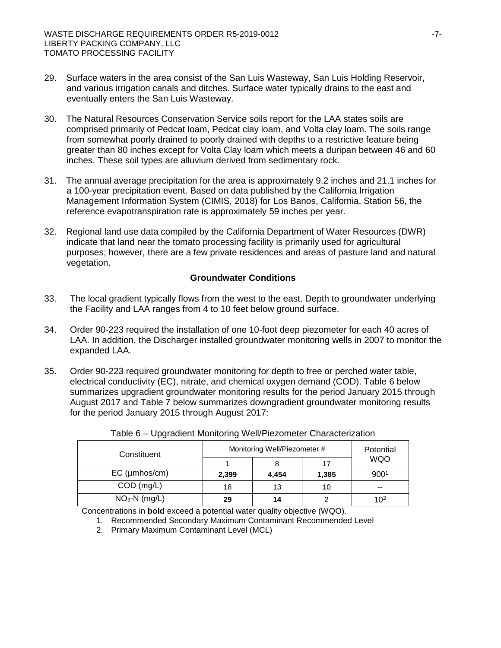- 29. Surface waters in the area consist of the San Luis Wasteway, San Luis Holding Reservoir, and various irrigation canals and ditches. Surface water typically drains to the east and eventually enters the San Luis Wasteway.
- 30. The Natural Resources Conservation Service soils report for the LAA states soils are comprised primarily of Pedcat loam, Pedcat clay loam, and Volta clay loam. The soils range from somewhat poorly drained to poorly drained with depths to a restrictive feature being greater than 80 inches except for Volta Clay loam which meets a duripan between 46 and 60 inches. These soil types are alluvium derived from sedimentary rock.
- 31. The annual average precipitation for the area is approximately 9.2 inches and 21.1 inches for a 100-year precipitation event. Based on data published by the California Irrigation Management Information System (CIMIS, 2018) for Los Banos, California, Station 56, the reference evapotranspiration rate is approximately 59 inches per year.
- 32. Regional land use data compiled by the California Department of Water Resources (DWR) indicate that land near the tomato processing facility is primarily used for agricultural purposes; however, there are a few private residences and areas of pasture land and natural vegetation.

### **Groundwater Conditions**

- 33. The local gradient typically flows from the west to the east. Depth to groundwater underlying the Facility and LAA ranges from 4 to 10 feet below ground surface.
- 34. Order 90-223 required the installation of one 10-foot deep piezometer for each 40 acres of LAA. In addition, the Discharger installed groundwater monitoring wells in 2007 to monitor the expanded LAA.
- 35. Order 90-223 required groundwater monitoring for depth to free or perched water table, electrical conductivity (EC), nitrate, and chemical oxygen demand (COD). Table 6 below summarizes upgradient groundwater monitoring results for the period January 2015 through August 2017 and Table 7 below summarizes downgradient groundwater monitoring results for the period January 2015 through August 2017:

| Constituent     | Monitoring Well/Piezometer # | Potential |       |                 |
|-----------------|------------------------------|-----------|-------|-----------------|
|                 |                              |           | 17    | <b>WQO</b>      |
| $EC$ (µmhos/cm) | 2,399                        | 4.454     | 1,385 | 9001            |
| $COD$ (mg/L)    | 18                           | 13        | 10    | $- -$           |
| $NO3-N$ (mg/L)  | 29                           | 14        |       | 10 <sup>2</sup> |

#### Table 6 – Upgradient Monitoring Well/Piezometer Characterization

Concentrations in **bold** exceed a potential water quality objective (WQO).

1. Recommended Secondary Maximum Contaminant Recommended Level

2. Primary Maximum Contaminant Level (MCL)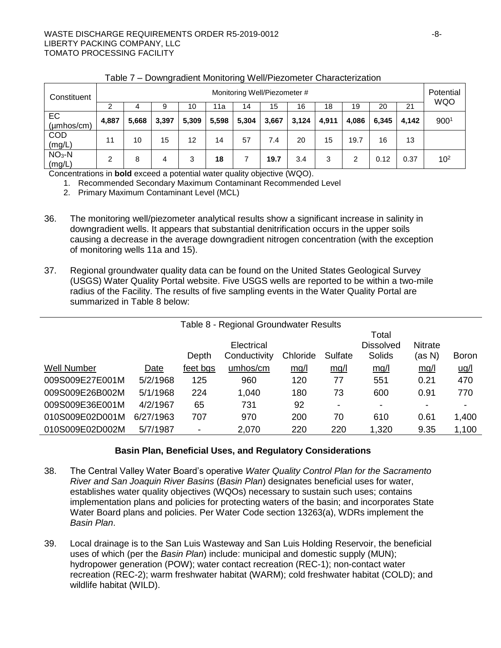#### WASTE DISCHARGE REQUIREMENTS ORDER R5-2019-0012 F8-LIBERTY PACKING COMPANY, LLC TOMATO PROCESSING FACILITY

| Constituent                   |       | Monitoring Well/Piezometer # |       |       |       |       |       |       |       | Potential<br><b>WQO</b> |       |       |                 |
|-------------------------------|-------|------------------------------|-------|-------|-------|-------|-------|-------|-------|-------------------------|-------|-------|-----------------|
|                               |       | 4                            |       | 10    | 11a   | 14    | 15    | 16    | 18    | 19                      | 20    | 21    |                 |
| EC<br>$(\mu m \text{hos/cm})$ | 4,887 | 5,668                        | 3,397 | 5,309 | 5,598 | 5,304 | 3,667 | 3,124 | 4,911 | 4,086                   | 6,345 | 4,142 | 9001            |
| <b>COD</b><br>(mg/L)          | 11    | 10                           | 15    | 12    | 14    | 57    | 7.4   | 20    | 15    | 19.7                    | 16    | 13    |                 |
| $NO3-N$<br>(mg/L)             | 2     | 8                            | 4     | 3     | 18    |       | 19.7  | 3.4   | 3     | 2                       | 0.12  | 0.37  | 10 <sup>2</sup> |

## Table 7 – Downgradient Monitoring Well/Piezometer Characterization

Concentrations in **bold** exceed a potential water quality objective (WQO).

1. Recommended Secondary Maximum Contaminant Recommended Level

2. Primary Maximum Contaminant Level (MCL)

- 36. The monitoring well/piezometer analytical results show a significant increase in salinity in downgradient wells. It appears that substantial denitrification occurs in the upper soils causing a decrease in the average downgradient nitrogen concentration (with the exception of monitoring wells 11a and 15).
- 37. Regional groundwater quality data can be found on the United States Geological Survey (USGS) Water Quality Portal website. Five USGS wells are reported to be within a two-mile radius of the Facility. The results of five sampling events in the Water Quality Portal are summarized in Table 8 below:

| Table 8 - Regional Groundwater Results |           |          |              |          |                          |                  |                |              |
|----------------------------------------|-----------|----------|--------------|----------|--------------------------|------------------|----------------|--------------|
|                                        |           |          |              |          |                          | Total            |                |              |
|                                        |           |          | Electrical   |          |                          | <b>Dissolved</b> | <b>Nitrate</b> |              |
|                                        |           | Depth    | Conductivity | Chloride | Sulfate                  | <b>Solids</b>    | (as N)         | <b>Boron</b> |
| Well Number                            | Date      | feet bgs | umhos/cm     | mq/l     | mg/l                     | mq/l             | mg/l           | <u>ug/l</u>  |
| 009S009E27E001M                        | 5/2/1968  | 125      | 960          | 120      | 77                       | 551              | 0.21           | 470          |
| 009S009E26B002M                        | 5/1/1968  | 224      | 1,040        | 180      | 73                       | 600              | 0.91           | 770          |
| 009S009E36E001M                        | 4/2/1967  | 65       | 731          | 92       | $\overline{\phantom{a}}$ |                  | -              |              |
| 010S009E02D001M                        | 6/27/1963 | 707      | 970          | 200      | 70                       | 610              | 0.61           | 1,400        |
| 010S009E02D002M                        | 5/7/1987  |          | 2,070        | 220      | 220                      | 1,320            | 9.35           | 1,100        |

# **Basin Plan, Beneficial Uses, and Regulatory Considerations**

- 38. The Central Valley Water Board's operative *Water Quality Control Plan for the Sacramento River and San Joaquin River Basins* (*Basin Plan*) designates beneficial uses for water, establishes water quality objectives (WQOs) necessary to sustain such uses; contains implementation plans and policies for protecting waters of the basin; and incorporates State Water Board plans and policies. Per Water Code section 13263(a), WDRs implement the *Basin Plan*.
- 39. Local drainage is to the San Luis Wasteway and San Luis Holding Reservoir, the beneficial uses of which (per the *Basin Plan*) include: municipal and domestic supply (MUN); hydropower generation (POW); water contact recreation (REC-1); non-contact water recreation (REC-2); warm freshwater habitat (WARM); cold freshwater habitat (COLD); and wildlife habitat (WILD).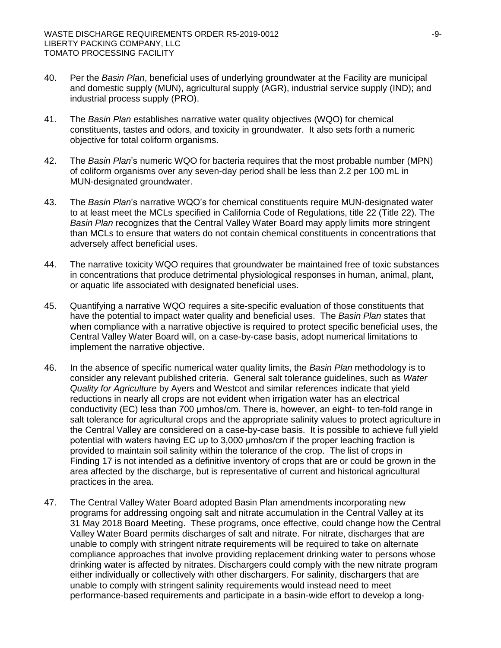- 40. Per the *Basin Plan*, beneficial uses of underlying groundwater at the Facility are municipal and domestic supply (MUN), agricultural supply (AGR), industrial service supply (IND); and industrial process supply (PRO).
- 41. The *Basin Plan* establishes narrative water quality objectives (WQO) for chemical constituents, tastes and odors, and toxicity in groundwater. It also sets forth a numeric objective for total coliform organisms.
- 42. The *Basin Plan*'s numeric WQO for bacteria requires that the most probable number (MPN) of coliform organisms over any seven-day period shall be less than 2.2 per 100 mL in MUN-designated groundwater.
- 43. The *Basin Plan*'s narrative WQO's for chemical constituents require MUN-designated water to at least meet the MCLs specified in California Code of Regulations, title 22 (Title 22). The *Basin Plan* recognizes that the Central Valley Water Board may apply limits more stringent than MCLs to ensure that waters do not contain chemical constituents in concentrations that adversely affect beneficial uses.
- 44. The narrative toxicity WQO requires that groundwater be maintained free of toxic substances in concentrations that produce detrimental physiological responses in human, animal, plant, or aquatic life associated with designated beneficial uses.
- 45. Quantifying a narrative WQO requires a site-specific evaluation of those constituents that have the potential to impact water quality and beneficial uses. The *Basin Plan* states that when compliance with a narrative objective is required to protect specific beneficial uses, the Central Valley Water Board will, on a case-by-case basis, adopt numerical limitations to implement the narrative objective.
- 46. In the absence of specific numerical water quality limits, the *Basin Plan* methodology is to consider any relevant published criteria. General salt tolerance guidelines, such as *Water Quality for Agriculture* by Ayers and Westcot and similar references indicate that yield reductions in nearly all crops are not evident when irrigation water has an electrical conductivity (EC) less than 700 μmhos/cm. There is, however, an eight- to ten-fold range in salt tolerance for agricultural crops and the appropriate salinity values to protect agriculture in the Central Valley are considered on a case-by-case basis. It is possible to achieve full yield potential with waters having EC up to 3,000 μmhos/cm if the proper leaching fraction is provided to maintain soil salinity within the tolerance of the crop. The list of crops in Finding 17 is not intended as a definitive inventory of crops that are or could be grown in the area affected by the discharge, but is representative of current and historical agricultural practices in the area.
- 47. The Central Valley Water Board adopted Basin Plan amendments incorporating new programs for addressing ongoing salt and nitrate accumulation in the Central Valley at its 31 May 2018 Board Meeting. These programs, once effective, could change how the Central Valley Water Board permits discharges of salt and nitrate. For nitrate, discharges that are unable to comply with stringent nitrate requirements will be required to take on alternate compliance approaches that involve providing replacement drinking water to persons whose drinking water is affected by nitrates. Dischargers could comply with the new nitrate program either individually or collectively with other dischargers. For salinity, dischargers that are unable to comply with stringent salinity requirements would instead need to meet performance-based requirements and participate in a basin-wide effort to develop a long-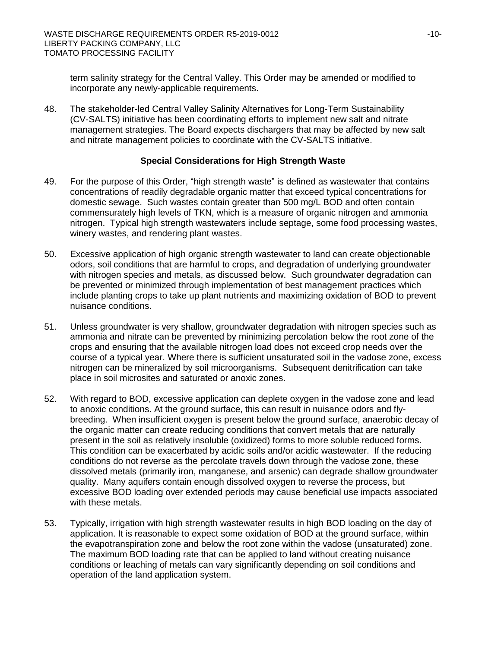term salinity strategy for the Central Valley. This Order may be amended or modified to incorporate any newly-applicable requirements.

48. The stakeholder-led Central Valley Salinity Alternatives for Long-Term Sustainability (CV-SALTS) initiative has been coordinating efforts to implement new salt and nitrate management strategies. The Board expects dischargers that may be affected by new salt and nitrate management policies to coordinate with the CV-SALTS initiative.

## **Special Considerations for High Strength Waste**

- 49. For the purpose of this Order, "high strength waste" is defined as wastewater that contains concentrations of readily degradable organic matter that exceed typical concentrations for domestic sewage. Such wastes contain greater than 500 mg/L BOD and often contain commensurately high levels of TKN, which is a measure of organic nitrogen and ammonia nitrogen. Typical high strength wastewaters include septage, some food processing wastes, winery wastes, and rendering plant wastes.
- 50. Excessive application of high organic strength wastewater to land can create objectionable odors, soil conditions that are harmful to crops, and degradation of underlying groundwater with nitrogen species and metals, as discussed below. Such groundwater degradation can be prevented or minimized through implementation of best management practices which include planting crops to take up plant nutrients and maximizing oxidation of BOD to prevent nuisance conditions.
- 51. Unless groundwater is very shallow, groundwater degradation with nitrogen species such as ammonia and nitrate can be prevented by minimizing percolation below the root zone of the crops and ensuring that the available nitrogen load does not exceed crop needs over the course of a typical year. Where there is sufficient unsaturated soil in the vadose zone, excess nitrogen can be mineralized by soil microorganisms. Subsequent denitrification can take place in soil microsites and saturated or anoxic zones.
- 52. With regard to BOD, excessive application can deplete oxygen in the vadose zone and lead to anoxic conditions. At the ground surface, this can result in nuisance odors and flybreeding. When insufficient oxygen is present below the ground surface, anaerobic decay of the organic matter can create reducing conditions that convert metals that are naturally present in the soil as relatively insoluble (oxidized) forms to more soluble reduced forms. This condition can be exacerbated by acidic soils and/or acidic wastewater. If the reducing conditions do not reverse as the percolate travels down through the vadose zone, these dissolved metals (primarily iron, manganese, and arsenic) can degrade shallow groundwater quality. Many aquifers contain enough dissolved oxygen to reverse the process, but excessive BOD loading over extended periods may cause beneficial use impacts associated with these metals.
- 53. Typically, irrigation with high strength wastewater results in high BOD loading on the day of application. It is reasonable to expect some oxidation of BOD at the ground surface, within the evapotranspiration zone and below the root zone within the vadose (unsaturated) zone. The maximum BOD loading rate that can be applied to land without creating nuisance conditions or leaching of metals can vary significantly depending on soil conditions and operation of the land application system.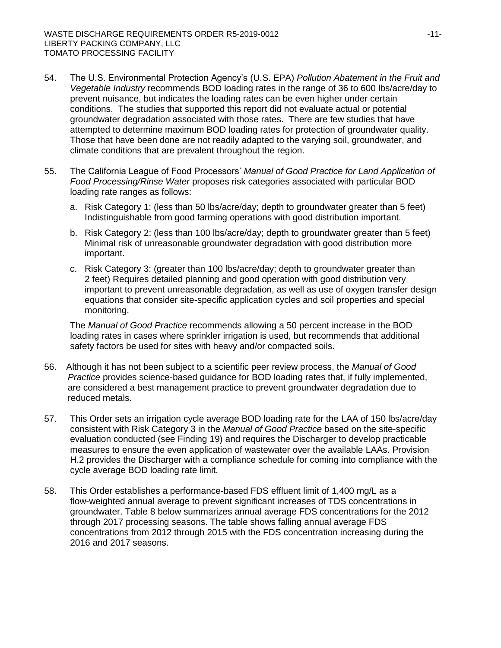- 54. The U.S. Environmental Protection Agency's (U.S. EPA) *Pollution Abatement in the Fruit and Vegetable Industry* recommends BOD loading rates in the range of 36 to 600 lbs/acre/day to prevent nuisance, but indicates the loading rates can be even higher under certain conditions. The studies that supported this report did not evaluate actual or potential groundwater degradation associated with those rates. There are few studies that have attempted to determine maximum BOD loading rates for protection of groundwater quality. Those that have been done are not readily adapted to the varying soil, groundwater, and climate conditions that are prevalent throughout the region.
- 55. The California League of Food Processors' *Manual of Good Practice for Land Application of Food Processing/Rinse Water* proposes risk categories associated with particular BOD loading rate ranges as follows:
	- a. Risk Category 1: (less than 50 lbs/acre/day; depth to groundwater greater than 5 feet) Indistinguishable from good farming operations with good distribution important.
	- b. Risk Category 2: (less than 100 lbs/acre/day; depth to groundwater greater than 5 feet) Minimal risk of unreasonable groundwater degradation with good distribution more important.
	- c. Risk Category 3: (greater than 100 lbs/acre/day; depth to groundwater greater than 2 feet) Requires detailed planning and good operation with good distribution very important to prevent unreasonable degradation, as well as use of oxygen transfer design equations that consider site-specific application cycles and soil properties and special monitoring.

The *Manual of Good Practice* recommends allowing a 50 percent increase in the BOD loading rates in cases where sprinkler irrigation is used, but recommends that additional safety factors be used for sites with heavy and/or compacted soils.

- 56. Although it has not been subject to a scientific peer review process, the *Manual of Good Practice* provides science-based guidance for BOD loading rates that, if fully implemented, are considered a best management practice to prevent groundwater degradation due to reduced metals.
- 57. This Order sets an irrigation cycle average BOD loading rate for the LAA of 150 lbs/acre/day consistent with Risk Category 3 in the *Manual of Good Practice* based on the site-specific evaluation conducted (see Finding 19) and requires the Discharger to develop practicable measures to ensure the even application of wastewater over the available LAAs. Provision H.2 provides the Discharger with a compliance schedule for coming into compliance with the cycle average BOD loading rate limit.
- 58. This Order establishes a performance-based FDS effluent limit of 1,400 mg/L as a flow-weighted annual average to prevent significant increases of TDS concentrations in groundwater. Table 8 below summarizes annual average FDS concentrations for the 2012 through 2017 processing seasons. The table shows falling annual average FDS concentrations from 2012 through 2015 with the FDS concentration increasing during the 2016 and 2017 seasons.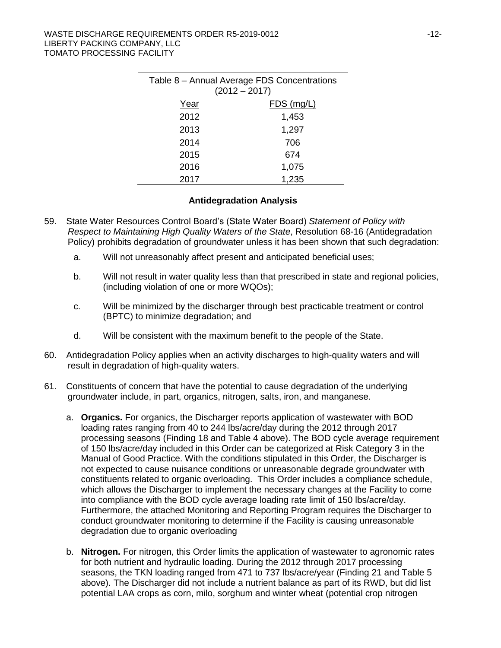| Table 8 - Annual Average FDS Concentrations<br>$(2012 - 2017)$ |              |  |  |  |  |
|----------------------------------------------------------------|--------------|--|--|--|--|
| Year                                                           | $FDS$ (mg/L) |  |  |  |  |
| 2012                                                           | 1,453        |  |  |  |  |
| 2013                                                           | 1,297        |  |  |  |  |
| 2014                                                           | 706          |  |  |  |  |
| 2015                                                           | 674          |  |  |  |  |
| 2016                                                           | 1,075        |  |  |  |  |
| 2017                                                           | 1,235        |  |  |  |  |

## **Antidegradation Analysis**

- 59. State Water Resources Control Board's (State Water Board) *Statement of Policy with Respect to Maintaining High Quality Waters of the State*, Resolution 68-16 (Antidegradation Policy) prohibits degradation of groundwater unless it has been shown that such degradation:
	- a. Will not unreasonably affect present and anticipated beneficial uses;
	- b. Will not result in water quality less than that prescribed in state and regional policies, (including violation of one or more WQOs);
	- c. Will be minimized by the discharger through best practicable treatment or control (BPTC) to minimize degradation; and
	- d. Will be consistent with the maximum benefit to the people of the State.
- 60. Antidegradation Policy applies when an activity discharges to high-quality waters and will result in degradation of high-quality waters.
- 61. Constituents of concern that have the potential to cause degradation of the underlying groundwater include, in part, organics, nitrogen, salts, iron, and manganese.
	- a. **Organics.** For organics, the Discharger reports application of wastewater with BOD loading rates ranging from 40 to 244 lbs/acre/day during the 2012 through 2017 processing seasons (Finding 18 and Table 4 above). The BOD cycle average requirement of 150 lbs/acre/day included in this Order can be categorized at Risk Category 3 in the Manual of Good Practice. With the conditions stipulated in this Order, the Discharger is not expected to cause nuisance conditions or unreasonable degrade groundwater with constituents related to organic overloading. This Order includes a compliance schedule, which allows the Discharger to implement the necessary changes at the Facility to come into compliance with the BOD cycle average loading rate limit of 150 lbs/acre/day. Furthermore, the attached Monitoring and Reporting Program requires the Discharger to conduct groundwater monitoring to determine if the Facility is causing unreasonable degradation due to organic overloading
	- b. **Nitrogen.** For nitrogen, this Order limits the application of wastewater to agronomic rates for both nutrient and hydraulic loading. During the 2012 through 2017 processing seasons, the TKN loading ranged from 471 to 737 lbs/acre/year (Finding 21 and Table 5 above). The Discharger did not include a nutrient balance as part of its RWD, but did list potential LAA crops as corn, milo, sorghum and winter wheat (potential crop nitrogen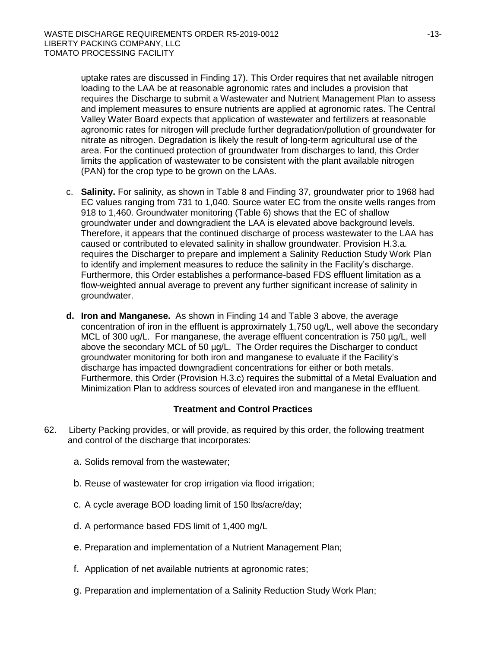uptake rates are discussed in Finding 17). This Order requires that net available nitrogen loading to the LAA be at reasonable agronomic rates and includes a provision that requires the Discharge to submit a Wastewater and Nutrient Management Plan to assess and implement measures to ensure nutrients are applied at agronomic rates. The Central Valley Water Board expects that application of wastewater and fertilizers at reasonable agronomic rates for nitrogen will preclude further degradation/pollution of groundwater for nitrate as nitrogen. Degradation is likely the result of long-term agricultural use of the area. For the continued protection of groundwater from discharges to land, this Order limits the application of wastewater to be consistent with the plant available nitrogen (PAN) for the crop type to be grown on the LAAs.

- c. **Salinity.** For salinity, as shown in Table 8 and Finding 37, groundwater prior to 1968 had EC values ranging from 731 to 1,040. Source water EC from the onsite wells ranges from 918 to 1,460. Groundwater monitoring (Table 6) shows that the EC of shallow groundwater under and downgradient the LAA is elevated above background levels. Therefore, it appears that the continued discharge of process wastewater to the LAA has caused or contributed to elevated salinity in shallow groundwater. Provision H.3.a. requires the Discharger to prepare and implement a Salinity Reduction Study Work Plan to identify and implement measures to reduce the salinity in the Facility's discharge. Furthermore, this Order establishes a performance-based FDS effluent limitation as a flow-weighted annual average to prevent any further significant increase of salinity in groundwater.
- **d. Iron and Manganese.** As shown in Finding 14 and Table 3 above, the average concentration of iron in the effluent is approximately 1,750 ug/L, well above the secondary MCL of 300 ug/L. For manganese, the average effluent concentration is 750  $\mu$ g/L, well above the secondary MCL of 50 µg/L. The Order requires the Discharger to conduct groundwater monitoring for both iron and manganese to evaluate if the Facility's discharge has impacted downgradient concentrations for either or both metals. Furthermore, this Order (Provision H.3.c) requires the submittal of a Metal Evaluation and Minimization Plan to address sources of elevated iron and manganese in the effluent.

# **Treatment and Control Practices**

- 62. Liberty Packing provides, or will provide, as required by this order, the following treatment and control of the discharge that incorporates:
	- a. Solids removal from the wastewater;
	- b. Reuse of wastewater for crop irrigation via flood irrigation;
	- c. A cycle average BOD loading limit of 150 lbs/acre/day;
	- d. A performance based FDS limit of 1,400 mg/L
	- e. Preparation and implementation of a Nutrient Management Plan;
	- f. Application of net available nutrients at agronomic rates;
	- g. Preparation and implementation of a Salinity Reduction Study Work Plan;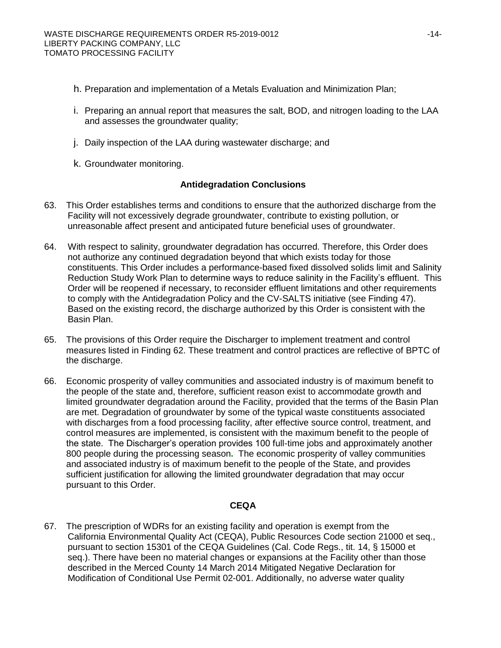- h. Preparation and implementation of a Metals Evaluation and Minimization Plan;
- i. Preparing an annual report that measures the salt, BOD, and nitrogen loading to the LAA and assesses the groundwater quality;
- j. Daily inspection of the LAA during wastewater discharge; and
- k. Groundwater monitoring.

# **Antidegradation Conclusions**

- 63. This Order establishes terms and conditions to ensure that the authorized discharge from the Facility will not excessively degrade groundwater, contribute to existing pollution, or unreasonable affect present and anticipated future beneficial uses of groundwater.
- 64. With respect to salinity, groundwater degradation has occurred. Therefore, this Order does not authorize any continued degradation beyond that which exists today for those constituents. This Order includes a performance-based fixed dissolved solids limit and Salinity Reduction Study Work Plan to determine ways to reduce salinity in the Facility's effluent. This Order will be reopened if necessary, to reconsider effluent limitations and other requirements to comply with the Antidegradation Policy and the CV-SALTS initiative (see Finding 47). Based on the existing record, the discharge authorized by this Order is consistent with the Basin Plan.
- 65. The provisions of this Order require the Discharger to implement treatment and control measures listed in Finding 62. These treatment and control practices are reflective of BPTC of the discharge.
- 66. Economic prosperity of valley communities and associated industry is of maximum benefit to the people of the state and, therefore, sufficient reason exist to accommodate growth and limited groundwater degradation around the Facility, provided that the terms of the Basin Plan are met. Degradation of groundwater by some of the typical waste constituents associated with discharges from a food processing facility, after effective source control, treatment, and control measures are implemented, is consistent with the maximum benefit to the people of the state. The Discharger's operation provides 100 full-time jobs and approximately another 800 people during the processing season**.** The economic prosperity of valley communities and associated industry is of maximum benefit to the people of the State, and provides sufficient justification for allowing the limited groundwater degradation that may occur pursuant to this Order.

# **CEQA**

67. The prescription of WDRs for an existing facility and operation is exempt from the California Environmental Quality Act (CEQA), Public Resources Code section 21000 et seq., pursuant to section 15301 of the CEQA Guidelines (Cal. Code Regs., tit. 14, § 15000 et seq.). There have been no material changes or expansions at the Facility other than those described in the Merced County 14 March 2014 Mitigated Negative Declaration for Modification of Conditional Use Permit 02-001. Additionally, no adverse water quality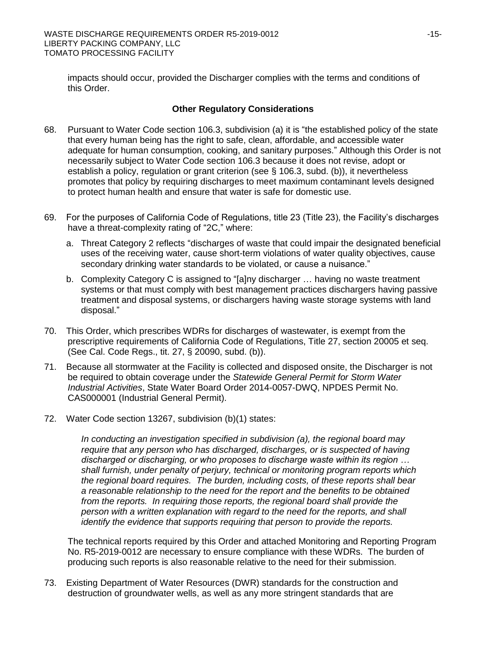impacts should occur, provided the Discharger complies with the terms and conditions of this Order.

## **Other Regulatory Considerations**

- 68. Pursuant to Water Code section 106.3, subdivision (a) it is "the established policy of the state that every human being has the right to safe, clean, affordable, and accessible water adequate for human consumption, cooking, and sanitary purposes." Although this Order is not necessarily subject to Water Code section 106.3 because it does not revise, adopt or establish a policy, regulation or grant criterion (see § 106.3, subd. (b)), it nevertheless promotes that policy by requiring discharges to meet maximum contaminant levels designed to protect human health and ensure that water is safe for domestic use.
- 69. For the purposes of California Code of Regulations, title 23 (Title 23), the Facility's discharges have a threat-complexity rating of "2C," where:
	- a. Threat Category 2 reflects "discharges of waste that could impair the designated beneficial uses of the receiving water, cause short-term violations of water quality objectives, cause secondary drinking water standards to be violated, or cause a nuisance."
	- b. Complexity Category C is assigned to "[a]ny discharger … having no waste treatment systems or that must comply with best management practices dischargers having passive treatment and disposal systems, or dischargers having waste storage systems with land disposal."
- 70. This Order, which prescribes WDRs for discharges of wastewater, is exempt from the prescriptive requirements of California Code of Regulations, Title 27, section 20005 et seq. (See Cal. Code Regs., tit. 27, § 20090, subd. (b)).
- 71. Because all stormwater at the Facility is collected and disposed onsite, the Discharger is not be required to obtain coverage under the *Statewide General Permit for Storm Water Industrial Activities*, State Water Board Order 2014-0057-DWQ, NPDES Permit No. CAS000001 (Industrial General Permit).
- 72. Water Code section 13267, subdivision (b)(1) states:

*In conducting an investigation specified in subdivision (a), the regional board may require that any person who has discharged, discharges, or is suspected of having discharged or discharging, or who proposes to discharge waste within its region … shall furnish, under penalty of perjury, technical or monitoring program reports which the regional board requires. The burden, including costs, of these reports shall bear a reasonable relationship to the need for the report and the benefits to be obtained from the reports. In requiring those reports, the regional board shall provide the person with a written explanation with regard to the need for the reports, and shall identify the evidence that supports requiring that person to provide the reports.*

The technical reports required by this Order and attached Monitoring and Reporting Program No. R5-2019-0012 are necessary to ensure compliance with these WDRs. The burden of producing such reports is also reasonable relative to the need for their submission.

73. Existing Department of Water Resources (DWR) standards for the construction and destruction of groundwater wells, as well as any more stringent standards that are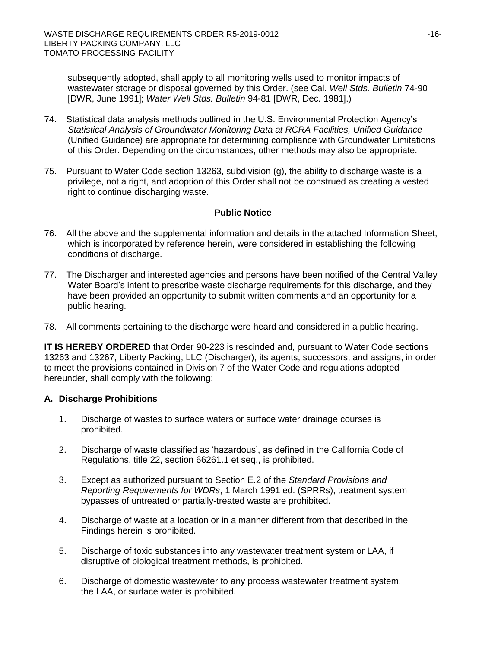subsequently adopted, shall apply to all monitoring wells used to monitor impacts of wastewater storage or disposal governed by this Order. (see Cal. *Well Stds. Bulletin* 74-90 [DWR, June 1991]; *Water Well Stds. Bulletin* 94-81 [DWR, Dec. 1981].)

- 74. Statistical data analysis methods outlined in the U.S. Environmental Protection Agency's *Statistical Analysis of Groundwater Monitoring Data at RCRA Facilities, Unified Guidance*  (Unified Guidance) are appropriate for determining compliance with Groundwater Limitations of this Order. Depending on the circumstances, other methods may also be appropriate.
- 75. Pursuant to Water Code section 13263, subdivision (g), the ability to discharge waste is a privilege, not a right, and adoption of this Order shall not be construed as creating a vested right to continue discharging waste.

## **Public Notice**

- 76. All the above and the supplemental information and details in the attached Information Sheet, which is incorporated by reference herein, were considered in establishing the following conditions of discharge.
- 77. The Discharger and interested agencies and persons have been notified of the Central Valley Water Board's intent to prescribe waste discharge requirements for this discharge, and they have been provided an opportunity to submit written comments and an opportunity for a public hearing.
- 78. All comments pertaining to the discharge were heard and considered in a public hearing.

**IT IS HEREBY ORDERED** that Order 90-223 is rescinded and, pursuant to Water Code sections 13263 and 13267, Liberty Packing, LLC (Discharger), its agents, successors, and assigns, in order to meet the provisions contained in Division 7 of the Water Code and regulations adopted hereunder, shall comply with the following:

# **A. Discharge Prohibitions**

- 1. Discharge of wastes to surface waters or surface water drainage courses is prohibited.
- 2. Discharge of waste classified as 'hazardous', as defined in the California Code of Regulations, title 22, section 66261.1 et seq., is prohibited.
- 3. Except as authorized pursuant to Section E.2 of the *Standard Provisions and Reporting Requirements for WDRs*, 1 March 1991 ed. (SPRRs), treatment system bypasses of untreated or partially-treated waste are prohibited.
- 4. Discharge of waste at a location or in a manner different from that described in the Findings herein is prohibited.
- 5. Discharge of toxic substances into any wastewater treatment system or LAA, if disruptive of biological treatment methods, is prohibited.
- 6. Discharge of domestic wastewater to any process wastewater treatment system, the LAA, or surface water is prohibited.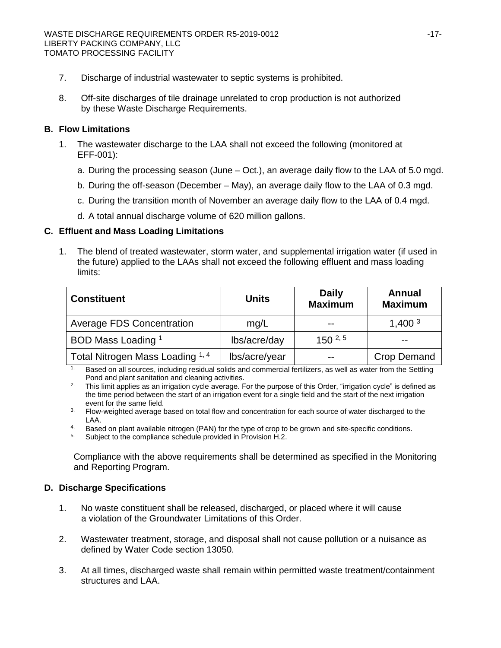- 7. Discharge of industrial wastewater to septic systems is prohibited.
- 8. Off-site discharges of tile drainage unrelated to crop production is not authorized by these Waste Discharge Requirements.

## **B. Flow Limitations**

- 1. The wastewater discharge to the LAA shall not exceed the following (monitored at EFF-001):
	- a. During the processing season (June Oct.), an average daily flow to the LAA of 5.0 mgd.
	- b. During the off-season (December May), an average daily flow to the LAA of 0.3 mgd.
	- c. During the transition month of November an average daily flow to the LAA of 0.4 mgd.
	- d. A total annual discharge volume of 620 million gallons.

## **C. Effluent and Mass Loading Limitations**

1. The blend of treated wastewater, storm water, and supplemental irrigation water (if used in the future) applied to the LAAs shall not exceed the following effluent and mass loading limits:

| <b>Constituent</b>               | <b>Units</b>  | <b>Daily</b><br><b>Maximum</b> | Annual<br><b>Maximum</b> |  |
|----------------------------------|---------------|--------------------------------|--------------------------|--|
| <b>Average FDS Concentration</b> | mq/L          | $- -$                          | 1,400 <sup>3</sup>       |  |
| BOD Mass Loading 1               | lbs/acre/day  | $150^{2,5}$                    | $- -$                    |  |
| Total Nitrogen Mass Loading 1, 4 | lbs/acre/year | $ -$                           | <b>Crop Demand</b>       |  |

<sup>1.</sup> Based on all sources, including residual solids and commercial fertilizers, as well as water from the Settling Pond and plant sanitation and cleaning activities.

<sup>2.</sup> This limit applies as an irrigation cycle average. For the purpose of this Order, "irrigation cycle" is defined as the time period between the start of an irrigation event for a single field and the start of the next irrigation event for the same field.

- <sup>3.</sup> Flow-weighted average based on total flow and concentration for each source of water discharged to the LAA.
- 4. Based on plant available nitrogen (PAN) for the type of crop to be grown and site-specific conditions.
- <sup>5.</sup> Subject to the compliance schedule provided in Provision H.2.

Compliance with the above requirements shall be determined as specified in the Monitoring and Reporting Program.

# **D. Discharge Specifications**

- 1. No waste constituent shall be released, discharged, or placed where it will cause a violation of the Groundwater Limitations of this Order.
- 2. Wastewater treatment, storage, and disposal shall not cause pollution or a nuisance as defined by Water Code section 13050.
- 3. At all times, discharged waste shall remain within permitted waste treatment/containment structures and LAA.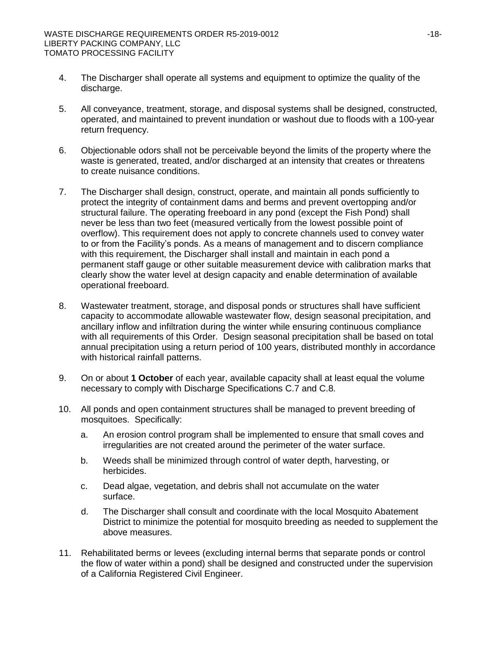- 4. The Discharger shall operate all systems and equipment to optimize the quality of the discharge.
- 5. All conveyance, treatment, storage, and disposal systems shall be designed, constructed, operated, and maintained to prevent inundation or washout due to floods with a 100-year return frequency.
- 6. Objectionable odors shall not be perceivable beyond the limits of the property where the waste is generated, treated, and/or discharged at an intensity that creates or threatens to create nuisance conditions.
- 7. The Discharger shall design, construct, operate, and maintain all ponds sufficiently to protect the integrity of containment dams and berms and prevent overtopping and/or structural failure. The operating freeboard in any pond (except the Fish Pond) shall never be less than two feet (measured vertically from the lowest possible point of overflow). This requirement does not apply to concrete channels used to convey water to or from the Facility's ponds. As a means of management and to discern compliance with this requirement, the Discharger shall install and maintain in each pond a permanent staff gauge or other suitable measurement device with calibration marks that clearly show the water level at design capacity and enable determination of available operational freeboard.
- 8. Wastewater treatment, storage, and disposal ponds or structures shall have sufficient capacity to accommodate allowable wastewater flow, design seasonal precipitation, and ancillary inflow and infiltration during the winter while ensuring continuous compliance with all requirements of this Order. Design seasonal precipitation shall be based on total annual precipitation using a return period of 100 years, distributed monthly in accordance with historical rainfall patterns.
- 9. On or about **1 October** of each year, available capacity shall at least equal the volume necessary to comply with Discharge Specifications C.7 and C.8.
- 10. All ponds and open containment structures shall be managed to prevent breeding of mosquitoes. Specifically:
	- a. An erosion control program shall be implemented to ensure that small coves and irregularities are not created around the perimeter of the water surface.
	- b. Weeds shall be minimized through control of water depth, harvesting, or herbicides.
	- c. Dead algae, vegetation, and debris shall not accumulate on the water surface.
	- d. The Discharger shall consult and coordinate with the local Mosquito Abatement District to minimize the potential for mosquito breeding as needed to supplement the above measures.
- 11. Rehabilitated berms or levees (excluding internal berms that separate ponds or control the flow of water within a pond) shall be designed and constructed under the supervision of a California Registered Civil Engineer.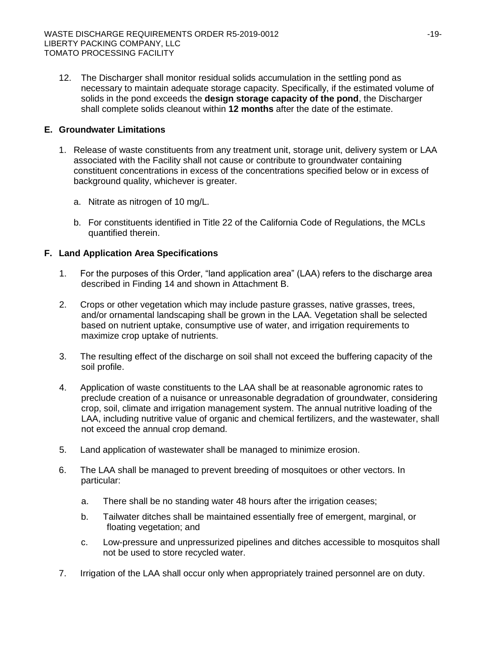12. The Discharger shall monitor residual solids accumulation in the settling pond as necessary to maintain adequate storage capacity. Specifically, if the estimated volume of solids in the pond exceeds the **design storage capacity of the pond**, the Discharger shall complete solids cleanout within **12 months** after the date of the estimate.

# **E. Groundwater Limitations**

- 1. Release of waste constituents from any treatment unit, storage unit, delivery system or LAA associated with the Facility shall not cause or contribute to groundwater containing constituent concentrations in excess of the concentrations specified below or in excess of background quality, whichever is greater.
	- a. Nitrate as nitrogen of 10 mg/L.
	- b. For constituents identified in Title 22 of the California Code of Regulations, the MCLs quantified therein.

# **F. Land Application Area Specifications**

- 1. For the purposes of this Order, "land application area" (LAA) refers to the discharge area described in Finding 14 and shown in Attachment B.
- 2. Crops or other vegetation which may include pasture grasses, native grasses, trees, and/or ornamental landscaping shall be grown in the LAA. Vegetation shall be selected based on nutrient uptake, consumptive use of water, and irrigation requirements to maximize crop uptake of nutrients.
- 3. The resulting effect of the discharge on soil shall not exceed the buffering capacity of the soil profile.
- 4. Application of waste constituents to the LAA shall be at reasonable agronomic rates to preclude creation of a nuisance or unreasonable degradation of groundwater, considering crop, soil, climate and irrigation management system. The annual nutritive loading of the LAA, including nutritive value of organic and chemical fertilizers, and the wastewater, shall not exceed the annual crop demand.
- 5. Land application of wastewater shall be managed to minimize erosion.
- 6. The LAA shall be managed to prevent breeding of mosquitoes or other vectors. In particular:
	- a. There shall be no standing water 48 hours after the irrigation ceases;
	- b. Tailwater ditches shall be maintained essentially free of emergent, marginal, or floating vegetation; and
	- c. Low-pressure and unpressurized pipelines and ditches accessible to mosquitos shall not be used to store recycled water.
- 7. Irrigation of the LAA shall occur only when appropriately trained personnel are on duty.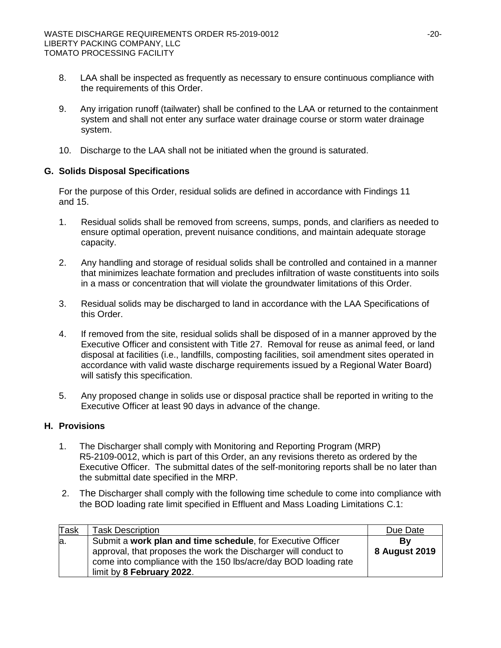- 8. LAA shall be inspected as frequently as necessary to ensure continuous compliance with the requirements of this Order.
- 9. Any irrigation runoff (tailwater) shall be confined to the LAA or returned to the containment system and shall not enter any surface water drainage course or storm water drainage system.
- 10. Discharge to the LAA shall not be initiated when the ground is saturated.

# **G. Solids Disposal Specifications**

For the purpose of this Order, residual solids are defined in accordance with Findings 11 and 15.

- 1. Residual solids shall be removed from screens, sumps, ponds, and clarifiers as needed to ensure optimal operation, prevent nuisance conditions, and maintain adequate storage capacity.
- 2. Any handling and storage of residual solids shall be controlled and contained in a manner that minimizes leachate formation and precludes infiltration of waste constituents into soils in a mass or concentration that will violate the groundwater limitations of this Order.
- 3. Residual solids may be discharged to land in accordance with the LAA Specifications of this Order.
- 4. If removed from the site, residual solids shall be disposed of in a manner approved by the Executive Officer and consistent with Title 27. Removal for reuse as animal feed, or land disposal at facilities (i.e., landfills, composting facilities, soil amendment sites operated in accordance with valid waste discharge requirements issued by a Regional Water Board) will satisfy this specification.
- 5. Any proposed change in solids use or disposal practice shall be reported in writing to the Executive Officer at least 90 days in advance of the change.

# **H. Provisions**

- 1. The Discharger shall comply with Monitoring and Reporting Program (MRP) R5-2109-0012, which is part of this Order, an any revisions thereto as ordered by the Executive Officer. The submittal dates of the self-monitoring reports shall be no later than the submittal date specified in the MRP.
- 2. The Discharger shall comply with the following time schedule to come into compliance with the BOD loading rate limit specified in Effluent and Mass Loading Limitations C.1:

| <b>Task</b> | <b>Task Description</b>                                                                                                                                                                                                        | Due Date            |
|-------------|--------------------------------------------------------------------------------------------------------------------------------------------------------------------------------------------------------------------------------|---------------------|
| la.         | Submit a work plan and time schedule, for Executive Officer<br>approval, that proposes the work the Discharger will conduct to<br>come into compliance with the 150 lbs/acre/day BOD loading rate<br>limit by 8 February 2022. | By<br>8 August 2019 |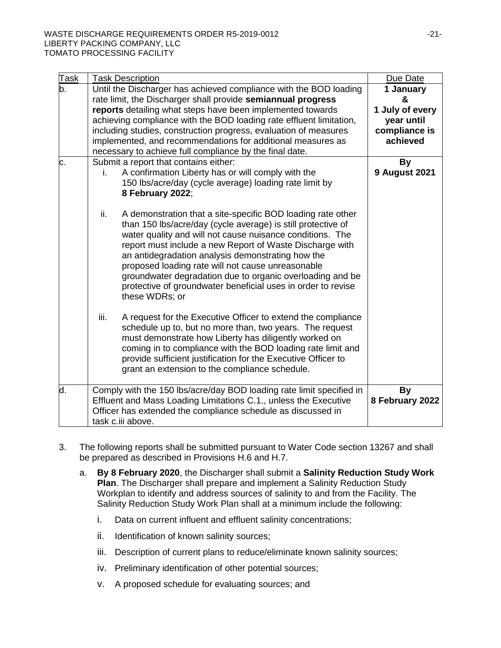| <b>Task</b> | <b>Task Description</b>                                                                                                                                                                                                                                                                                                                                                                                                                                                                                              | Due Date                                                                     |
|-------------|----------------------------------------------------------------------------------------------------------------------------------------------------------------------------------------------------------------------------------------------------------------------------------------------------------------------------------------------------------------------------------------------------------------------------------------------------------------------------------------------------------------------|------------------------------------------------------------------------------|
| b.          | Until the Discharger has achieved compliance with the BOD loading<br>rate limit, the Discharger shall provide semiannual progress<br>reports detailing what steps have been implemented towards<br>achieving compliance with the BOD loading rate effluent limitation,<br>including studies, construction progress, evaluation of measures<br>implemented, and recommendations for additional measures as<br>necessary to achieve full compliance by the final date.                                                 | 1 January<br>&<br>1 July of every<br>year until<br>compliance is<br>achieved |
| c.          | Submit a report that contains either:<br>A confirmation Liberty has or will comply with the<br>İ.<br>150 lbs/acre/day (cycle average) loading rate limit by<br>8 February 2022;                                                                                                                                                                                                                                                                                                                                      | <b>By</b><br><b>9 August 2021</b>                                            |
|             | ii.<br>A demonstration that a site-specific BOD loading rate other<br>than 150 lbs/acre/day (cycle average) is still protective of<br>water quality and will not cause nuisance conditions. The<br>report must include a new Report of Waste Discharge with<br>an antidegradation analysis demonstrating how the<br>proposed loading rate will not cause unreasonable<br>groundwater degradation due to organic overloading and be<br>protective of groundwater beneficial uses in order to revise<br>these WDRs; or |                                                                              |
|             | iii.<br>A request for the Executive Officer to extend the compliance<br>schedule up to, but no more than, two years. The request<br>must demonstrate how Liberty has diligently worked on<br>coming in to compliance with the BOD loading rate limit and<br>provide sufficient justification for the Executive Officer to<br>grant an extension to the compliance schedule.                                                                                                                                          |                                                                              |
| d.          | Comply with the 150 lbs/acre/day BOD loading rate limit specified in<br>Effluent and Mass Loading Limitations C.1., unless the Executive<br>Officer has extended the compliance schedule as discussed in<br>task c.iii above.                                                                                                                                                                                                                                                                                        | By<br>8 February 2022                                                        |

- 3. The following reports shall be submitted pursuant to Water Code section 13267 and shall be prepared as described in Provisions H.6 and H.7.
	- a. **By 8 February 2020**, the Discharger shall submit a **Salinity Reduction Study Work Plan**. The Discharger shall prepare and implement a Salinity Reduction Study Workplan to identify and address sources of salinity to and from the Facility. The Salinity Reduction Study Work Plan shall at a minimum include the following:
		- i. Data on current influent and effluent salinity concentrations;
		- ii. Identification of known salinity sources;
		- iii. Description of current plans to reduce/eliminate known salinity sources;
		- iv. Preliminary identification of other potential sources;
		- v. A proposed schedule for evaluating sources; and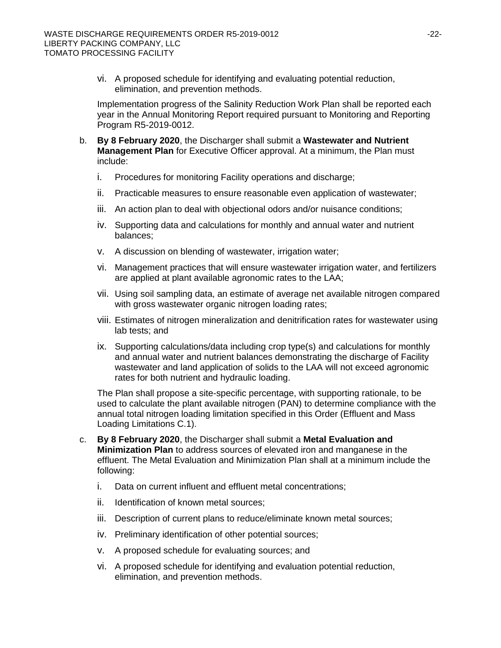vi. A proposed schedule for identifying and evaluating potential reduction, elimination, and prevention methods.

Implementation progress of the Salinity Reduction Work Plan shall be reported each year in the Annual Monitoring Report required pursuant to Monitoring and Reporting Program R5-2019-0012.

- b. **By 8 February 2020**, the Discharger shall submit a **Wastewater and Nutrient Management Plan** for Executive Officer approval. At a minimum, the Plan must include:
	- i. Procedures for monitoring Facility operations and discharge;
	- ii. Practicable measures to ensure reasonable even application of wastewater;
	- iii. An action plan to deal with objectional odors and/or nuisance conditions;
	- iv. Supporting data and calculations for monthly and annual water and nutrient balances;
	- v. A discussion on blending of wastewater, irrigation water;
	- vi. Management practices that will ensure wastewater irrigation water, and fertilizers are applied at plant available agronomic rates to the LAA;
	- vii. Using soil sampling data, an estimate of average net available nitrogen compared with gross wastewater organic nitrogen loading rates;
	- viii. Estimates of nitrogen mineralization and denitrification rates for wastewater using lab tests; and
	- ix. Supporting calculations/data including crop type(s) and calculations for monthly and annual water and nutrient balances demonstrating the discharge of Facility wastewater and land application of solids to the LAA will not exceed agronomic rates for both nutrient and hydraulic loading.

The Plan shall propose a site-specific percentage, with supporting rationale, to be used to calculate the plant available nitrogen (PAN) to determine compliance with the annual total nitrogen loading limitation specified in this Order (Effluent and Mass Loading Limitations C.1).

- c. **By 8 February 2020**, the Discharger shall submit a **Metal Evaluation and Minimization Plan** to address sources of elevated iron and manganese in the effluent. The Metal Evaluation and Minimization Plan shall at a minimum include the following:
	- i. Data on current influent and effluent metal concentrations;
	- ii. Identification of known metal sources;
	- iii. Description of current plans to reduce/eliminate known metal sources;
	- iv. Preliminary identification of other potential sources;
	- v. A proposed schedule for evaluating sources; and
	- vi. A proposed schedule for identifying and evaluation potential reduction, elimination, and prevention methods.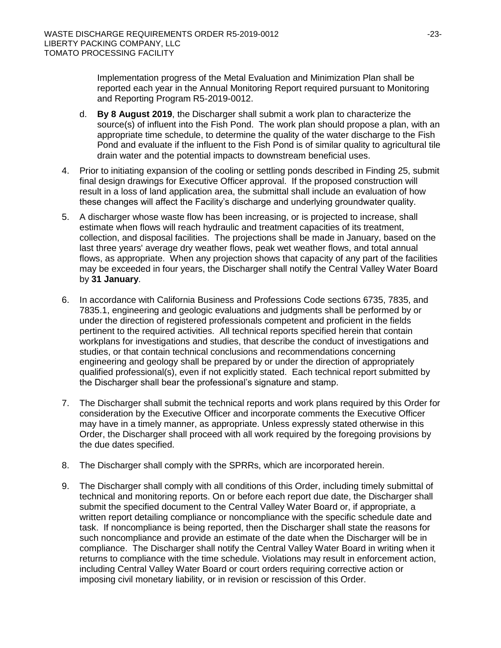Implementation progress of the Metal Evaluation and Minimization Plan shall be reported each year in the Annual Monitoring Report required pursuant to Monitoring and Reporting Program R5-2019-0012.

- d. **By 8 August 2019**, the Discharger shall submit a work plan to characterize the source(s) of influent into the Fish Pond. The work plan should propose a plan, with an appropriate time schedule, to determine the quality of the water discharge to the Fish Pond and evaluate if the influent to the Fish Pond is of similar quality to agricultural tile drain water and the potential impacts to downstream beneficial uses.
- 4. Prior to initiating expansion of the cooling or settling ponds described in Finding 25, submit final design drawings for Executive Officer approval. If the proposed construction will result in a loss of land application area, the submittal shall include an evaluation of how these changes will affect the Facility's discharge and underlying groundwater quality.
- 5. A discharger whose waste flow has been increasing, or is projected to increase, shall estimate when flows will reach hydraulic and treatment capacities of its treatment, collection, and disposal facilities. The projections shall be made in January, based on the last three years' average dry weather flows, peak wet weather flows, and total annual flows, as appropriate. When any projection shows that capacity of any part of the facilities may be exceeded in four years, the Discharger shall notify the Central Valley Water Board by **31 January**.
- 6. In accordance with California Business and Professions Code sections 6735, 7835, and 7835.1, engineering and geologic evaluations and judgments shall be performed by or under the direction of registered professionals competent and proficient in the fields pertinent to the required activities. All technical reports specified herein that contain workplans for investigations and studies, that describe the conduct of investigations and studies, or that contain technical conclusions and recommendations concerning engineering and geology shall be prepared by or under the direction of appropriately qualified professional(s), even if not explicitly stated. Each technical report submitted by the Discharger shall bear the professional's signature and stamp.
- 7. The Discharger shall submit the technical reports and work plans required by this Order for consideration by the Executive Officer and incorporate comments the Executive Officer may have in a timely manner, as appropriate. Unless expressly stated otherwise in this Order, the Discharger shall proceed with all work required by the foregoing provisions by the due dates specified.
- 8. The Discharger shall comply with the SPRRs, which are incorporated herein.
- 9. The Discharger shall comply with all conditions of this Order, including timely submittal of technical and monitoring reports. On or before each report due date, the Discharger shall submit the specified document to the Central Valley Water Board or, if appropriate, a written report detailing compliance or noncompliance with the specific schedule date and task. If noncompliance is being reported, then the Discharger shall state the reasons for such noncompliance and provide an estimate of the date when the Discharger will be in compliance. The Discharger shall notify the Central Valley Water Board in writing when it returns to compliance with the time schedule. Violations may result in enforcement action, including Central Valley Water Board or court orders requiring corrective action or imposing civil monetary liability, or in revision or rescission of this Order.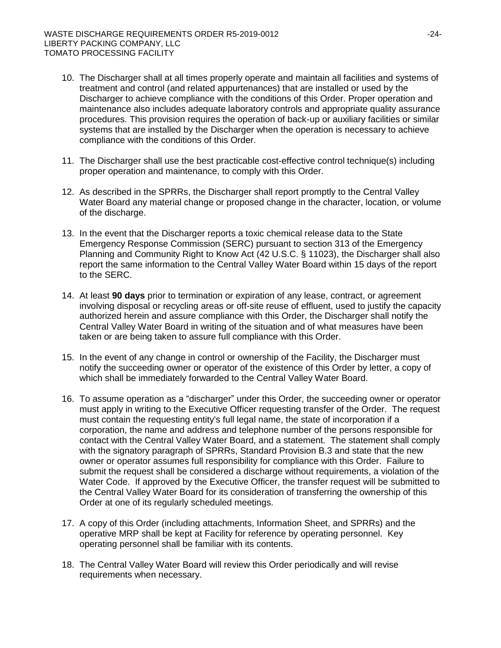- 10. The Discharger shall at all times properly operate and maintain all facilities and systems of treatment and control (and related appurtenances) that are installed or used by the Discharger to achieve compliance with the conditions of this Order. Proper operation and maintenance also includes adequate laboratory controls and appropriate quality assurance procedures. This provision requires the operation of back-up or auxiliary facilities or similar systems that are installed by the Discharger when the operation is necessary to achieve compliance with the conditions of this Order.
- 11. The Discharger shall use the best practicable cost-effective control technique(s) including proper operation and maintenance, to comply with this Order.
- 12. As described in the SPRRs, the Discharger shall report promptly to the Central Valley Water Board any material change or proposed change in the character, location, or volume of the discharge.
- 13. In the event that the Discharger reports a toxic chemical release data to the State Emergency Response Commission (SERC) pursuant to section 313 of the Emergency Planning and Community Right to Know Act (42 U.S.C. § 11023), the Discharger shall also report the same information to the Central Valley Water Board within 15 days of the report to the SERC.
- 14. At least **90 days** prior to termination or expiration of any lease, contract, or agreement involving disposal or recycling areas or off-site reuse of effluent, used to justify the capacity authorized herein and assure compliance with this Order, the Discharger shall notify the Central Valley Water Board in writing of the situation and of what measures have been taken or are being taken to assure full compliance with this Order.
- 15. In the event of any change in control or ownership of the Facility, the Discharger must notify the succeeding owner or operator of the existence of this Order by letter, a copy of which shall be immediately forwarded to the Central Valley Water Board.
- 16. To assume operation as a "discharger" under this Order, the succeeding owner or operator must apply in writing to the Executive Officer requesting transfer of the Order. The request must contain the requesting entity's full legal name, the state of incorporation if a corporation, the name and address and telephone number of the persons responsible for contact with the Central Valley Water Board, and a statement. The statement shall comply with the signatory paragraph of SPRRs, Standard Provision B.3 and state that the new owner or operator assumes full responsibility for compliance with this Order. Failure to submit the request shall be considered a discharge without requirements, a violation of the Water Code. If approved by the Executive Officer, the transfer request will be submitted to the Central Valley Water Board for its consideration of transferring the ownership of this Order at one of its regularly scheduled meetings.
- 17. A copy of this Order (including attachments, Information Sheet, and SPRRs) and the operative MRP shall be kept at Facility for reference by operating personnel. Key operating personnel shall be familiar with its contents.
- 18. The Central Valley Water Board will review this Order periodically and will revise requirements when necessary.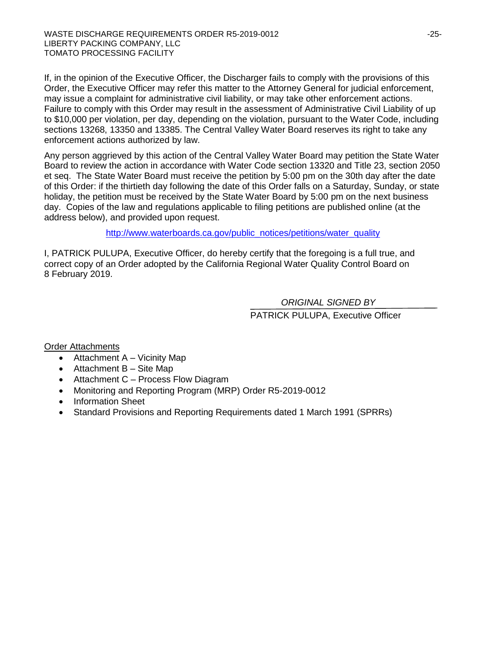If, in the opinion of the Executive Officer, the Discharger fails to comply with the provisions of this Order, the Executive Officer may refer this matter to the Attorney General for judicial enforcement, may issue a complaint for administrative civil liability, or may take other enforcement actions. Failure to comply with this Order may result in the assessment of Administrative Civil Liability of up to \$10,000 per violation, per day, depending on the violation, pursuant to the Water Code, including sections 13268, 13350 and 13385. The Central Valley Water Board reserves its right to take any enforcement actions authorized by law.

Any person aggrieved by this action of the Central Valley Water Board may petition the State Water Board to review the action in accordance with Water Code section 13320 and Title 23, section 2050 et seq. The State Water Board must receive the petition by 5:00 pm on the 30th day after the date of this Order: if the thirtieth day following the date of this Order falls on a Saturday, Sunday, or state holiday, the petition must be received by the State Water Board by 5:00 pm on the next business day. Copies of the law and regulations applicable to filing petitions are published online (at the address below), and provided upon request.

[http://www.waterboards.ca.gov/public\\_notices/petitions/water\\_quality](http://www.waterboards.ca.gov/public_notices/petitions/water_quality)

I, PATRICK PULUPA, Executive Officer, do hereby certify that the foregoing is a full true, and correct copy of an Order adopted by the California Regional Water Quality Control Board on 8 February 2019.

> PATRICK PULUPA, Executive Officer *ORIGINAL SIGNED BY*

Order Attachments

- Attachment A Vicinity Map
- Attachment B Site Map
- Attachment C Process Flow Diagram
- Monitoring and Reporting Program (MRP) Order R5-2019-0012
- Information Sheet
- Standard Provisions and Reporting Requirements dated 1 March 1991 (SPRRs)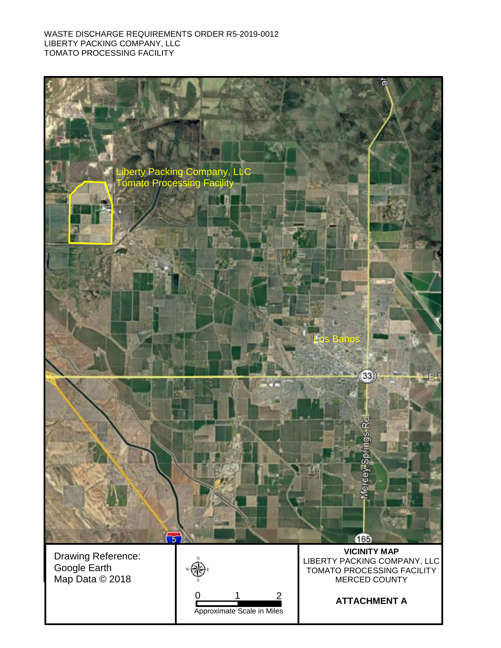#### WASTE DISCHARGE REQUIREMENTS ORDER R5-2019-0012 LIBERTY PACKING COMPANY, LLC TOMATO PROCESSING FACILITY

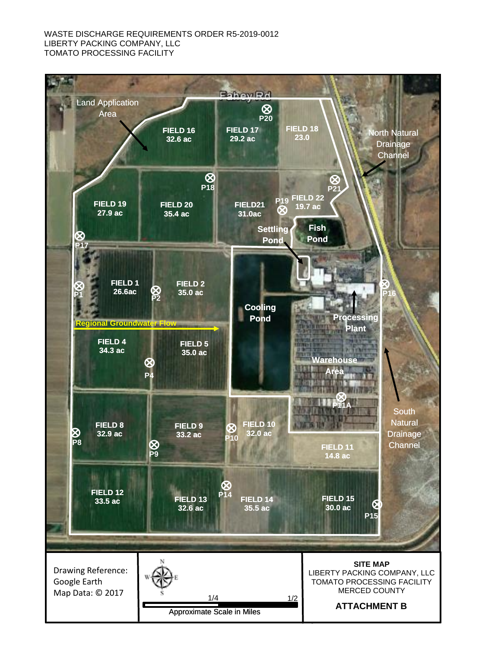#### WASTE DISCHARGE REQUIREMENTS ORDER R5-2019-0012 LIBERTY PACKING COMPANY, LLC TOMATO PROCESSING FACILITY

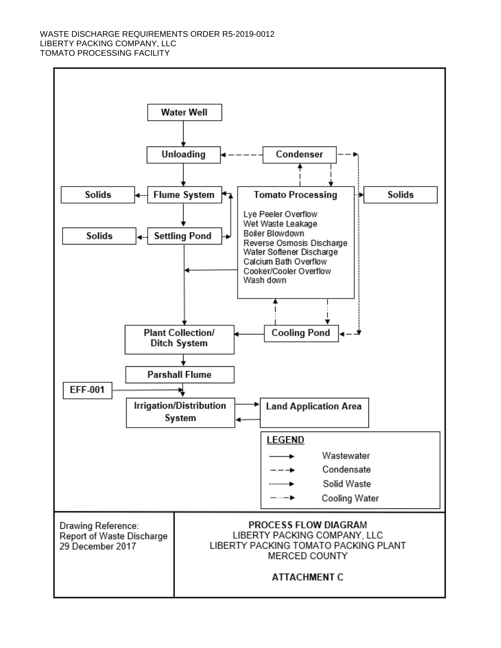#### WASTE DISCHARGE REQUIREMENTS ORDER R5-2019-0012 LIBERTY PACKING COMPANY, LLC TOMATO PROCESSING FACILITY

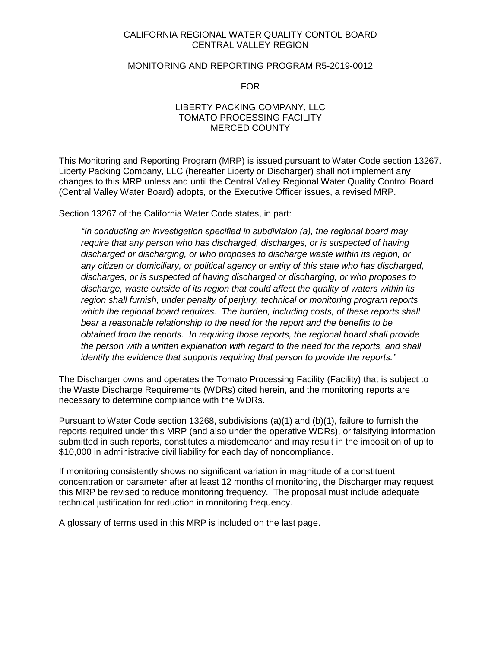## CALIFORNIA REGIONAL WATER QUALITY CONTOL BOARD CENTRAL VALLEY REGION

#### MONITORING AND REPORTING PROGRAM R5-2019-0012

FOR

## LIBERTY PACKING COMPANY, LLC TOMATO PROCESSING FACILITY MERCED COUNTY

This Monitoring and Reporting Program (MRP) is issued pursuant to Water Code section 13267. Liberty Packing Company, LLC (hereafter Liberty or Discharger) shall not implement any changes to this MRP unless and until the Central Valley Regional Water Quality Control Board (Central Valley Water Board) adopts, or the Executive Officer issues, a revised MRP.

Section 13267 of the California Water Code states, in part:

*"In conducting an investigation specified in subdivision (a), the regional board may require that any person who has discharged, discharges, or is suspected of having discharged or discharging, or who proposes to discharge waste within its region, or any citizen or domiciliary, or political agency or entity of this state who has discharged, discharges, or is suspected of having discharged or discharging, or who proposes to discharge, waste outside of its region that could affect the quality of waters within its region shall furnish, under penalty of perjury, technical or monitoring program reports which the regional board requires. The burden, including costs, of these reports shall bear a reasonable relationship to the need for the report and the benefits to be obtained from the reports. In requiring those reports, the regional board shall provide the person with a written explanation with regard to the need for the reports, and shall identify the evidence that supports requiring that person to provide the reports."*

The Discharger owns and operates the Tomato Processing Facility (Facility) that is subject to the Waste Discharge Requirements (WDRs) cited herein, and the monitoring reports are necessary to determine compliance with the WDRs.

Pursuant to Water Code section 13268, subdivisions (a)(1) and (b)(1), failure to furnish the reports required under this MRP (and also under the operative WDRs), or falsifying information submitted in such reports, constitutes a misdemeanor and may result in the imposition of up to \$10,000 in administrative civil liability for each day of noncompliance.

If monitoring consistently shows no significant variation in magnitude of a constituent concentration or parameter after at least 12 months of monitoring, the Discharger may request this MRP be revised to reduce monitoring frequency. The proposal must include adequate technical justification for reduction in monitoring frequency.

A glossary of terms used in this MRP is included on the last page.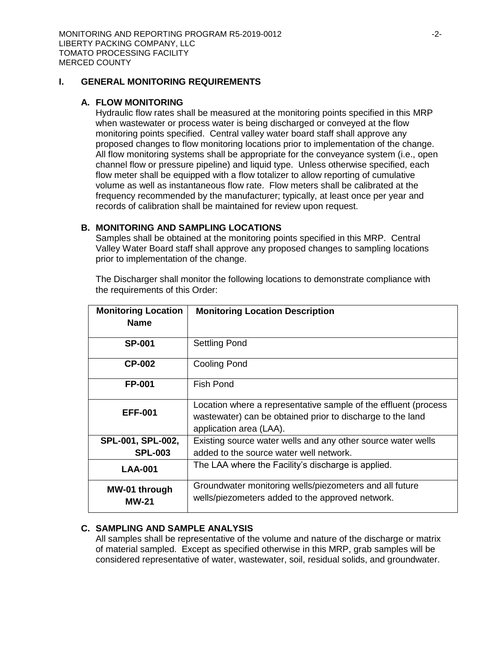# **I. GENERAL MONITORING REQUIREMENTS**

### **A. FLOW MONITORING**

Hydraulic flow rates shall be measured at the monitoring points specified in this MRP when wastewater or process water is being discharged or conveyed at the flow monitoring points specified. Central valley water board staff shall approve any proposed changes to flow monitoring locations prior to implementation of the change. All flow monitoring systems shall be appropriate for the conveyance system (i.e., open channel flow or pressure pipeline) and liquid type. Unless otherwise specified, each flow meter shall be equipped with a flow totalizer to allow reporting of cumulative volume as well as instantaneous flow rate. Flow meters shall be calibrated at the frequency recommended by the manufacturer; typically, at least once per year and records of calibration shall be maintained for review upon request.

# **B. MONITORING AND SAMPLING LOCATIONS**

Samples shall be obtained at the monitoring points specified in this MRP. Central Valley Water Board staff shall approve any proposed changes to sampling locations prior to implementation of the change.

The Discharger shall monitor the following locations to demonstrate compliance with the requirements of this Order:

| <b>Monitoring Location</b><br><b>Name</b> | <b>Monitoring Location Description</b>                                                                                                                   |
|-------------------------------------------|----------------------------------------------------------------------------------------------------------------------------------------------------------|
| <b>SP-001</b>                             | <b>Settling Pond</b>                                                                                                                                     |
| <b>CP-002</b>                             | <b>Cooling Pond</b>                                                                                                                                      |
| <b>FP-001</b>                             | Fish Pond                                                                                                                                                |
| <b>EFF-001</b>                            | Location where a representative sample of the effluent (process<br>wastewater) can be obtained prior to discharge to the land<br>application area (LAA). |
| SPL-001, SPL-002,<br><b>SPL-003</b>       | Existing source water wells and any other source water wells<br>added to the source water well network.                                                  |
| <b>LAA-001</b>                            | The LAA where the Facility's discharge is applied.                                                                                                       |
| MW-01 through<br>MW-21                    | Groundwater monitoring wells/piezometers and all future<br>wells/piezometers added to the approved network.                                              |

# **C. SAMPLING AND SAMPLE ANALYSIS**

All samples shall be representative of the volume and nature of the discharge or matrix of material sampled. Except as specified otherwise in this MRP, grab samples will be considered representative of water, wastewater, soil, residual solids, and groundwater.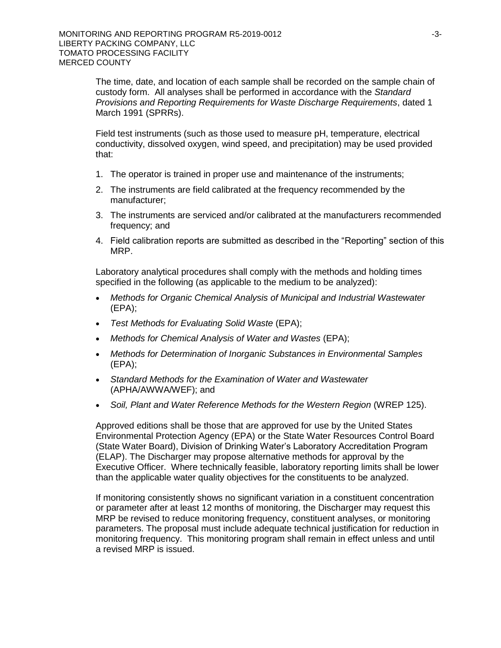The time, date, and location of each sample shall be recorded on the sample chain of custody form. All analyses shall be performed in accordance with the *Standard Provisions and Reporting Requirements for Waste Discharge Requirements*, dated 1 March 1991 (SPRRs).

Field test instruments (such as those used to measure pH, temperature, electrical conductivity, dissolved oxygen, wind speed, and precipitation) may be used provided that:

- 1. The operator is trained in proper use and maintenance of the instruments;
- 2. The instruments are field calibrated at the frequency recommended by the manufacturer;
- 3. The instruments are serviced and/or calibrated at the manufacturers recommended frequency; and
- 4. Field calibration reports are submitted as described in the "Reporting" section of this MRP.

Laboratory analytical procedures shall comply with the methods and holding times specified in the following (as applicable to the medium to be analyzed):

- *Methods for Organic Chemical Analysis of Municipal and Industrial Wastewater*  (EPA);
- *Test Methods for Evaluating Solid Waste* (EPA);
- *Methods for Chemical Analysis of Water and Wastes* (EPA);
- *Methods for Determination of Inorganic Substances in Environmental Samples*  (EPA);
- *Standard Methods for the Examination of Water and Wastewater*  (APHA/AWWA/WEF); and
- *Soil, Plant and Water Reference Methods for the Western Region* (WREP 125).

Approved editions shall be those that are approved for use by the United States Environmental Protection Agency (EPA) or the State Water Resources Control Board (State Water Board), Division of Drinking Water's Laboratory Accreditation Program (ELAP). The Discharger may propose alternative methods for approval by the Executive Officer. Where technically feasible, laboratory reporting limits shall be lower than the applicable water quality objectives for the constituents to be analyzed.

If monitoring consistently shows no significant variation in a constituent concentration or parameter after at least 12 months of monitoring, the Discharger may request this MRP be revised to reduce monitoring frequency, constituent analyses, or monitoring parameters. The proposal must include adequate technical justification for reduction in monitoring frequency. This monitoring program shall remain in effect unless and until a revised MRP is issued.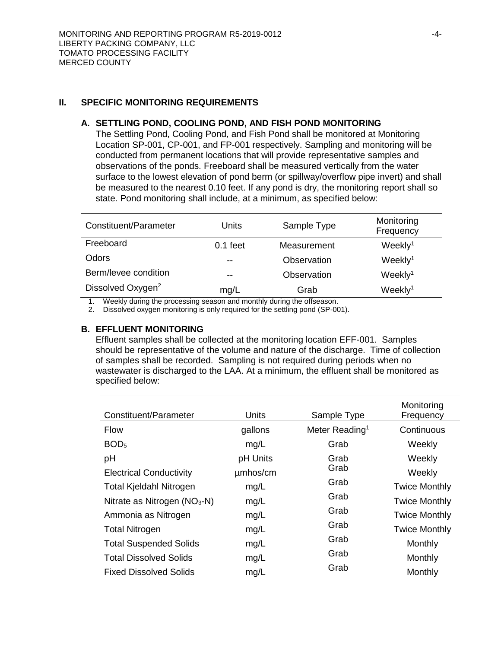## **II. SPECIFIC MONITORING REQUIREMENTS**

### **A. SETTLING POND, COOLING POND, AND FISH POND MONITORING**

The Settling Pond, Cooling Pond, and Fish Pond shall be monitored at Monitoring Location SP-001, CP-001, and FP-001 respectively. Sampling and monitoring will be conducted from permanent locations that will provide representative samples and observations of the ponds. Freeboard shall be measured vertically from the water surface to the lowest elevation of pond berm (or spillway/overflow pipe invert) and shall be measured to the nearest 0.10 feet. If any pond is dry, the monitoring report shall so state. Pond monitoring shall include, at a minimum, as specified below:

| Constituent/Parameter         | Units      | Sample Type | Monitoring<br>Frequency |
|-------------------------------|------------|-------------|-------------------------|
| Freeboard                     | $0.1$ feet | Measurement | Weekly <sup>1</sup>     |
| Odors                         | $- -$      | Observation | Weekly <sup>1</sup>     |
| Berm/levee condition          | $- -$      | Observation | Weekly <sup>1</sup>     |
| Dissolved Oxygen <sup>2</sup> | mg/L       | Grab        | Weekly <sup>1</sup>     |

1. Weekly during the processing season and monthly during the offseason.

2. Dissolved oxygen monitoring is only required for the settling pond (SP-001).

## **B. EFFLUENT MONITORING**

Effluent samples shall be collected at the monitoring location EFF-001. Samples should be representative of the volume and nature of the discharge. Time of collection of samples shall be recorded. Sampling is not required during periods when no wastewater is discharged to the LAA. At a minimum, the effluent shall be monitored as specified below:

| Constituent/Parameter          | <b>Units</b> | Sample Type                | Monitoring<br>Frequency |
|--------------------------------|--------------|----------------------------|-------------------------|
| <b>Flow</b>                    | gallons      | Meter Reading <sup>1</sup> | Continuous              |
| BOD <sub>5</sub>               | mg/L         | Grab                       | Weekly                  |
| pH                             | pH Units     | Grab                       | Weekly                  |
| <b>Electrical Conductivity</b> | umhos/cm     | Grab                       | Weekly                  |
| <b>Total Kjeldahl Nitrogen</b> | mg/L         | Grab                       | <b>Twice Monthly</b>    |
| Nitrate as Nitrogen $(NO3-N)$  | mg/L         | Grab                       | <b>Twice Monthly</b>    |
| Ammonia as Nitrogen            | mg/L         | Grab                       | <b>Twice Monthly</b>    |
| <b>Total Nitrogen</b>          | mg/L         | Grab                       | <b>Twice Monthly</b>    |
| <b>Total Suspended Solids</b>  | mg/L         | Grab                       | Monthly                 |
| <b>Total Dissolved Solids</b>  | mg/L         | Grab                       | Monthly                 |
| <b>Fixed Dissolved Solids</b>  | mg/L         | Grab                       | Monthly                 |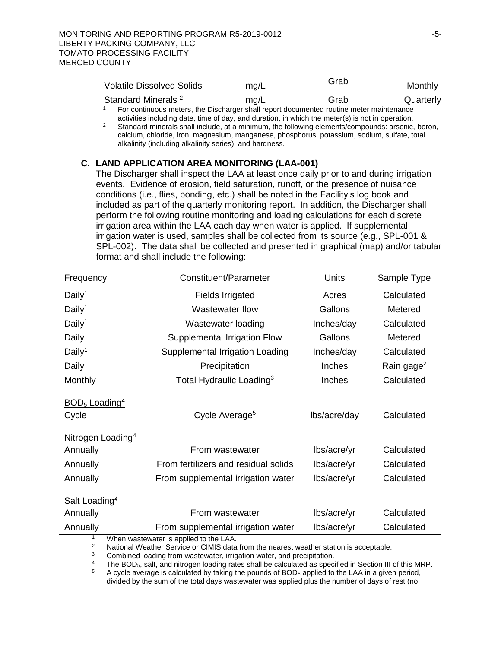| <b>Volatile Dissolved Solids</b>                                                        | mg/L | Grab | Monthly   |
|-----------------------------------------------------------------------------------------|------|------|-----------|
| Standard Minerals <sup>2</sup>                                                          | mq/L | Grab | Quarterly |
| For continuous maters, the Discharger shall report decumented reuting mater maintenance |      |      |           |

<sup>1</sup>For continuous meters, the Discharger shall report documented routine meter maintenance activities including date, time of day, and duration, in which the meter(s) is not in operation.

<sup>2</sup> Standard minerals shall include, at a minimum, the following elements/compounds: arsenic, boron, calcium, chloride, iron, magnesium, manganese, phosphorus, potassium, sodium, sulfate, total alkalinity (including alkalinity series), and hardness.

# **C. LAND APPLICATION AREA MONITORING (LAA-001)**

The Discharger shall inspect the LAA at least once daily prior to and during irrigation events. Evidence of erosion, field saturation, runoff, or the presence of nuisance conditions (i.e., flies, ponding, etc.) shall be noted in the Facility's log book and included as part of the quarterly monitoring report. In addition, the Discharger shall perform the following routine monitoring and loading calculations for each discrete irrigation area within the LAA each day when water is applied. If supplemental irrigation water is used, samples shall be collected from its source (e.g., SPL-001 & SPL-002). The data shall be collected and presented in graphical (map) and/or tabular format and shall include the following:

| Frequency                                                             | Constituent/Parameter                                                                    | <b>Units</b> | Sample Type            |
|-----------------------------------------------------------------------|------------------------------------------------------------------------------------------|--------------|------------------------|
| Daily <sup>1</sup>                                                    | <b>Fields Irrigated</b>                                                                  | Acres        | Calculated             |
| Daily <sup>1</sup>                                                    | Wastewater flow                                                                          | Gallons      | Metered                |
| Daily <sup>1</sup>                                                    | Wastewater loading                                                                       | Inches/day   | Calculated             |
| Daily <sup>1</sup>                                                    | Supplemental Irrigation Flow                                                             | Gallons      | Metered                |
| Daily <sup>1</sup>                                                    | Supplemental Irrigation Loading                                                          | Inches/day   | Calculated             |
| Daily <sup>1</sup>                                                    | Precipitation                                                                            | Inches       | Rain gage <sup>2</sup> |
| Monthly                                                               | Total Hydraulic Loading <sup>3</sup>                                                     | Inches       | Calculated             |
| $BOD5$ Loading <sup>4</sup><br>Cycle<br>Nitrogen Loading <sup>4</sup> | Cycle Average <sup>5</sup>                                                               | lbs/acre/day | Calculated             |
| Annually                                                              | From wastewater                                                                          | lbs/acre/yr  | Calculated             |
| Annually                                                              | From fertilizers and residual solids                                                     | lbs/acre/yr  | Calculated             |
| Annually                                                              | From supplemental irrigation water                                                       | lbs/acre/yr  | Calculated             |
| Salt Loading <sup>4</sup><br>Annually                                 | From wastewater                                                                          | lbs/acre/yr  | Calculated             |
| Annually                                                              | From supplemental irrigation water<br>$M/h$ an wastewater is applied to the $I \wedge A$ | lbs/acre/yr  | Calculated             |

<sup>1</sup> When wastewater is applied to the LAA.<br><sup>2</sup> National Weather Service or CIMIS data

<sup>2</sup> National Weather Service or CIMIS data from the nearest weather station is acceptable.<br><sup>3</sup> Combined looding from wests water irrigation water, and procipitation

<sup>3</sup> Combined loading from wastewater, irrigation water, and precipitation.

<sup>4</sup> The BOD<sub>5</sub>, salt, and nitrogen loading rates shall be calculated as specified in Section III of this MRP.<br> $\frac{5}{2}$  A gyalo gyargon is calculated by taking the pounds of BOD-spelled to the LAA in a given poriod

<sup>5</sup> A cycle average is calculated by taking the pounds of BOD<sup>5</sup> applied to the LAA in a given period, divided by the sum of the total days wastewater was applied plus the number of days of rest (no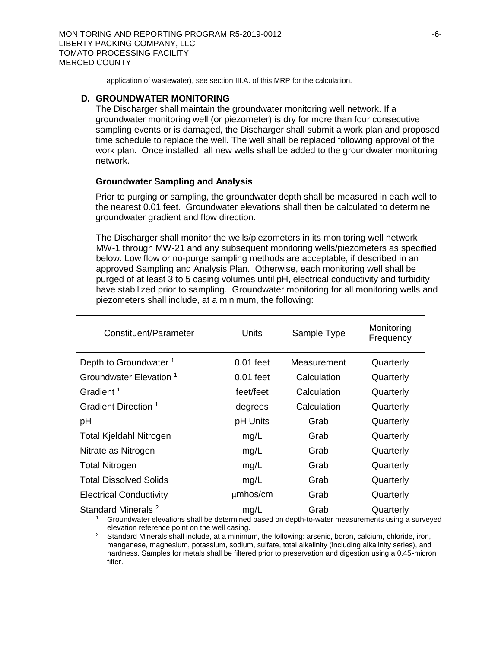application of wastewater), see section III.A. of this MRP for the calculation.

#### **D. GROUNDWATER MONITORING**

The Discharger shall maintain the groundwater monitoring well network. If a groundwater monitoring well (or piezometer) is dry for more than four consecutive sampling events or is damaged, the Discharger shall submit a work plan and proposed time schedule to replace the well. The well shall be replaced following approval of the work plan. Once installed, all new wells shall be added to the groundwater monitoring network.

#### **Groundwater Sampling and Analysis**

Prior to purging or sampling, the groundwater depth shall be measured in each well to the nearest 0.01 feet. Groundwater elevations shall then be calculated to determine groundwater gradient and flow direction.

The Discharger shall monitor the wells/piezometers in its monitoring well network MW-1 through MW-21 and any subsequent monitoring wells/piezometers as specified below. Low flow or no-purge sampling methods are acceptable, if described in an approved Sampling and Analysis Plan. Otherwise, each monitoring well shall be purged of at least 3 to 5 casing volumes until pH, electrical conductivity and turbidity have stabilized prior to sampling. Groundwater monitoring for all monitoring wells and piezometers shall include, at a minimum, the following:

| Constituent/Parameter              | Units       | Sample Type | Monitoring<br>Frequency |
|------------------------------------|-------------|-------------|-------------------------|
| Depth to Groundwater <sup>1</sup>  | $0.01$ feet | Measurement | Quarterly               |
| Groundwater Elevation <sup>1</sup> | $0.01$ feet | Calculation | Quarterly               |
| Gradient <sup>1</sup>              | feet/feet   | Calculation | Quarterly               |
| Gradient Direction 1               | degrees     | Calculation | Quarterly               |
| рH                                 | pH Units    | Grab        | Quarterly               |
| Total Kjeldahl Nitrogen            | mg/L        | Grab        | Quarterly               |
| Nitrate as Nitrogen                | mg/L        | Grab        | Quarterly               |
| <b>Total Nitrogen</b>              | mg/L        | Grab        | Quarterly               |
| <b>Total Dissolved Solids</b>      | mg/L        | Grab        | Quarterly               |
| <b>Electrical Conductivity</b>     | $µm$ hos/cm | Grab        | Quarterly               |
| Standard Minerals <sup>2</sup>     | mg/L        | Grab        | Quarterly               |

<sup>1</sup> Groundwater elevations shall be determined based on depth-to-water measurements using a surveyed elevation reference point on the well casing.

<sup>2</sup> Standard Minerals shall include, at a minimum, the following: arsenic, boron, calcium, chloride, iron, manganese, magnesium, potassium, sodium, sulfate, total alkalinity (including alkalinity series), and hardness. Samples for metals shall be filtered prior to preservation and digestion using a 0.45-micron filter.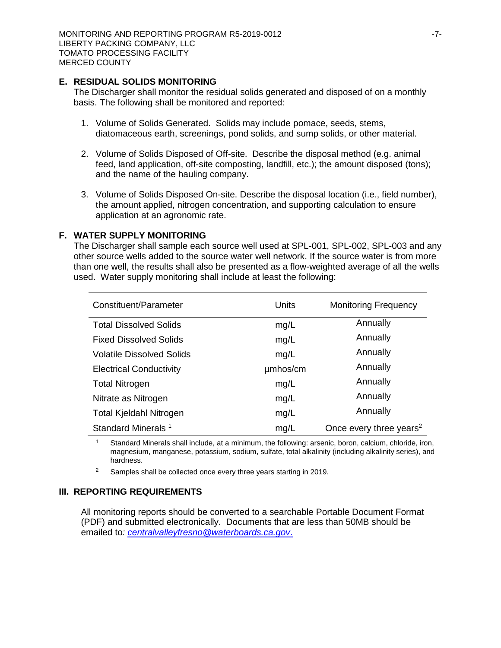### **E. RESIDUAL SOLIDS MONITORING**

The Discharger shall monitor the residual solids generated and disposed of on a monthly basis. The following shall be monitored and reported:

- 1. Volume of Solids Generated. Solids may include pomace, seeds, stems, diatomaceous earth, screenings, pond solids, and sump solids, or other material.
- 2. Volume of Solids Disposed of Off-site. Describe the disposal method (e.g. animal feed, land application, off-site composting, landfill, etc.); the amount disposed (tons); and the name of the hauling company.
- 3. Volume of Solids Disposed On-site. Describe the disposal location (i.e., field number), the amount applied, nitrogen concentration, and supporting calculation to ensure application at an agronomic rate.

## **F. WATER SUPPLY MONITORING**

The Discharger shall sample each source well used at SPL-001, SPL-002, SPL-003 and any other source wells added to the source water well network. If the source water is from more than one well, the results shall also be presented as a flow-weighted average of all the wells used. Water supply monitoring shall include at least the following:

| Constituent/Parameter            | Units    | <b>Monitoring Frequency</b>         |
|----------------------------------|----------|-------------------------------------|
| <b>Total Dissolved Solids</b>    | mg/L     | Annually                            |
| <b>Fixed Dissolved Solids</b>    | mg/L     | Annually                            |
| <b>Volatile Dissolved Solids</b> | mg/L     | Annually                            |
| <b>Electrical Conductivity</b>   | umhos/cm | Annually                            |
| <b>Total Nitrogen</b>            | mg/L     | Annually                            |
| Nitrate as Nitrogen              | mg/L     | Annually                            |
| <b>Total Kjeldahl Nitrogen</b>   | mg/L     | Annually                            |
| Standard Minerals <sup>1</sup>   | mg/L     | Once every three years <sup>2</sup> |

<sup>1</sup> Standard Minerals shall include, at a minimum, the following: arsenic, boron, calcium, chloride, iron, magnesium, manganese, potassium, sodium, sulfate, total alkalinity (including alkalinity series), and hardness.

<sup>2</sup> Samples shall be collected once every three years starting in 2019.

### **III. REPORTING REQUIREMENTS**

All monitoring reports should be converted to a searchable Portable Document Format (PDF) and submitted electronically. Documents that are less than 50MB should be emailed to*: [centralvalleyfresno@waterboards.ca.gov](mailto:centralvalleyfresno@waterboards.ca.gov)*.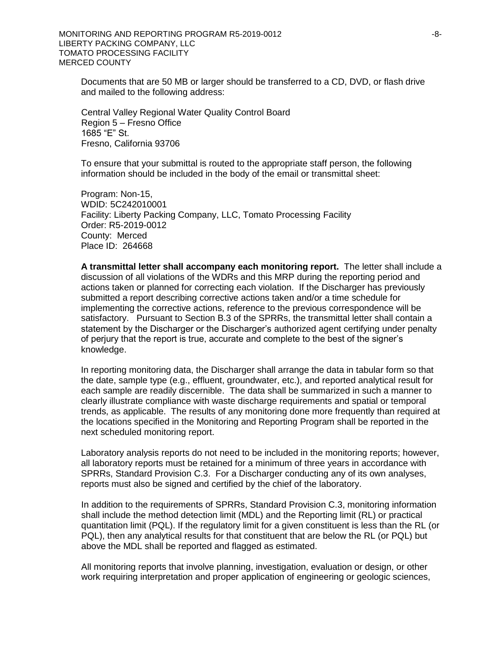Documents that are 50 MB or larger should be transferred to a CD, DVD, or flash drive and mailed to the following address:

Central Valley Regional Water Quality Control Board Region 5 – Fresno Office 1685 "E" St. Fresno, California 93706

To ensure that your submittal is routed to the appropriate staff person, the following information should be included in the body of the email or transmittal sheet:

Program: Non-15, WDID: 5C242010001 Facility: Liberty Packing Company, LLC, Tomato Processing Facility Order: R5-2019-0012 County: Merced Place ID: 264668

**A transmittal letter shall accompany each monitoring report.** The letter shall include a discussion of all violations of the WDRs and this MRP during the reporting period and actions taken or planned for correcting each violation. If the Discharger has previously submitted a report describing corrective actions taken and/or a time schedule for implementing the corrective actions, reference to the previous correspondence will be satisfactory. Pursuant to Section B.3 of the SPRRs, the transmittal letter shall contain a statement by the Discharger or the Discharger's authorized agent certifying under penalty of perjury that the report is true, accurate and complete to the best of the signer's knowledge.

In reporting monitoring data, the Discharger shall arrange the data in tabular form so that the date, sample type (e.g., effluent, groundwater, etc.), and reported analytical result for each sample are readily discernible. The data shall be summarized in such a manner to clearly illustrate compliance with waste discharge requirements and spatial or temporal trends, as applicable. The results of any monitoring done more frequently than required at the locations specified in the Monitoring and Reporting Program shall be reported in the next scheduled monitoring report.

Laboratory analysis reports do not need to be included in the monitoring reports; however, all laboratory reports must be retained for a minimum of three years in accordance with SPRRs, Standard Provision C.3. For a Discharger conducting any of its own analyses, reports must also be signed and certified by the chief of the laboratory.

In addition to the requirements of SPRRs, Standard Provision C.3, monitoring information shall include the method detection limit (MDL) and the Reporting limit (RL) or practical quantitation limit (PQL). If the regulatory limit for a given constituent is less than the RL (or PQL), then any analytical results for that constituent that are below the RL (or PQL) but above the MDL shall be reported and flagged as estimated.

All monitoring reports that involve planning, investigation, evaluation or design, or other work requiring interpretation and proper application of engineering or geologic sciences,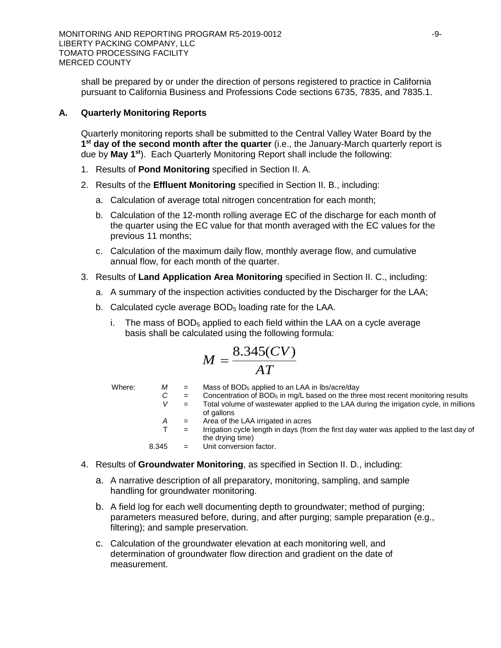shall be prepared by or under the direction of persons registered to practice in California pursuant to California Business and Professions Code sections 6735, 7835, and 7835.1.

# **A. Quarterly Monitoring Reports**

Quarterly monitoring reports shall be submitted to the Central Valley Water Board by the **1 st day of the second month after the quarter** (i.e., the January-March quarterly report is due by **May 1st**). Each Quarterly Monitoring Report shall include the following:

- 1. Results of **Pond Monitoring** specified in Section II. A.
- 2. Results of the **Effluent Monitoring** specified in Section II. B., including:
	- a. Calculation of average total nitrogen concentration for each month;
	- b. Calculation of the 12-month rolling average EC of the discharge for each month of the quarter using the EC value for that month averaged with the EC values for the previous 11 months;
	- c. Calculation of the maximum daily flow, monthly average flow, and cumulative annual flow, for each month of the quarter.
- 3. Results of **Land Application Area Monitoring** specified in Section II. C., including:
	- a. A summary of the inspection activities conducted by the Discharger for the LAA;
	- b. Calculated cycle average  $BOD<sub>5</sub>$  loading rate for the LAA.
		- i. The mass of  $BOD<sub>5</sub>$  applied to each field within the LAA on a cycle average basis shall be calculated using the following formula:

$$
M = \frac{8.345(CV)}{AT}
$$

- Where:  $M =$  Mass of BOD<sub>5</sub> applied to an LAA in lbs/acre/day
	- $C =$  Concentration of BOD<sub>5</sub> in mg/L based on the three most recent monitoring results  $V =$  Total volume of wastewater applied to the LAA during the irrigation cycle, in million
		- = Total volume of wastewater applied to the LAA during the irrigation cycle, in millions of gallons
		- *A* = Area of the LAA irrigated in acres
	- $T =$  Irrigation cycle length in days (from the first day water was applied to the last day of the drying time)
	- 8.345 = Unit conversion factor.
- 4. Results of **Groundwater Monitoring**, as specified in Section II. D., including:
	- a. A narrative description of all preparatory, monitoring, sampling, and sample handling for groundwater monitoring.
	- b. A field log for each well documenting depth to groundwater; method of purging; parameters measured before, during, and after purging; sample preparation (e.g., filtering); and sample preservation.
	- c. Calculation of the groundwater elevation at each monitoring well, and determination of groundwater flow direction and gradient on the date of measurement.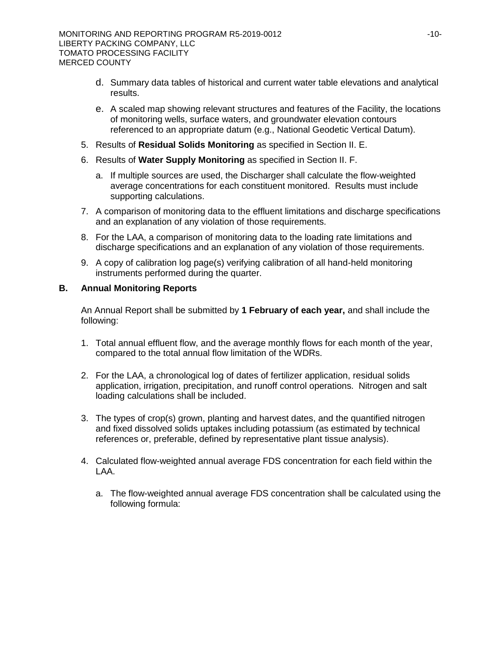- d. Summary data tables of historical and current water table elevations and analytical results.
- e. A scaled map showing relevant structures and features of the Facility, the locations of monitoring wells, surface waters, and groundwater elevation contours referenced to an appropriate datum (e.g., National Geodetic Vertical Datum).
- 5. Results of **Residual Solids Monitoring** as specified in Section II. E.
- 6. Results of **Water Supply Monitoring** as specified in Section II. F.
	- a. If multiple sources are used, the Discharger shall calculate the flow-weighted average concentrations for each constituent monitored. Results must include supporting calculations.
- 7. A comparison of monitoring data to the effluent limitations and discharge specifications and an explanation of any violation of those requirements.
- 8. For the LAA, a comparison of monitoring data to the loading rate limitations and discharge specifications and an explanation of any violation of those requirements.
- 9. A copy of calibration log page(s) verifying calibration of all hand-held monitoring instruments performed during the quarter.

# **B. Annual Monitoring Reports**

An Annual Report shall be submitted by **1 February of each year,** and shall include the following:

- 1. Total annual effluent flow, and the average monthly flows for each month of the year, compared to the total annual flow limitation of the WDRs.
- 2. For the LAA, a chronological log of dates of fertilizer application, residual solids application, irrigation, precipitation, and runoff control operations. Nitrogen and salt loading calculations shall be included.
- 3. The types of crop(s) grown, planting and harvest dates, and the quantified nitrogen and fixed dissolved solids uptakes including potassium (as estimated by technical references or, preferable, defined by representative plant tissue analysis).
- 4. Calculated flow-weighted annual average FDS concentration for each field within the LAA.
	- a. The flow-weighted annual average FDS concentration shall be calculated using the following formula: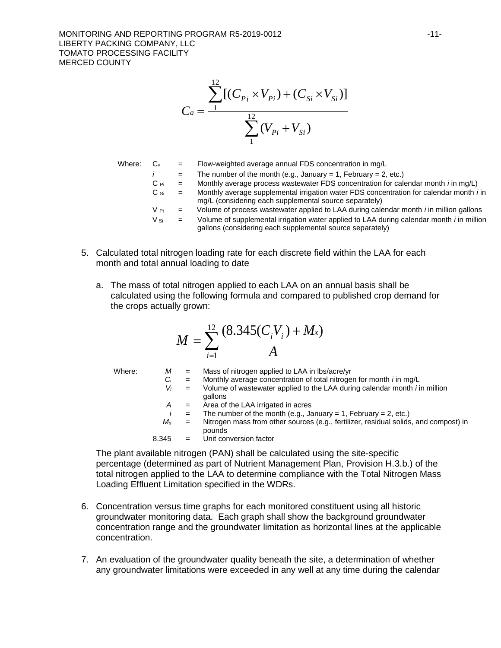$$
C_a = \frac{\sum_{1}^{12} [(C_{P_i} \times V_{P_i}) + (C_{Si} \times V_{Si})]}{\sum_{1}^{12} (V_{P_i} + V_{Si})}
$$

Where:  $C_a$  = Flow-weighted average annual FDS concentration in mg/L  $i =$  The number of the month (e.g., January = 1, February = 2, etc.)  $C_{\text{Pi}}$  = Monthly average process wastewater FDS concentration for calendar month *i* in mg/L) C Si = Monthly average supplemental irrigation water FDS concentration for calendar month *i* in mg/L (considering each supplemental source separately)  $V_{\text{Pi}}$  = Volume of process wastewater applied to LAA during calendar month *i* in million gallons V Si = Volume of supplemental irrigation water applied to LAA during calendar month *i* in million gallons (considering each supplemental source separately)

- 5. Calculated total nitrogen loading rate for each discrete field within the LAA for each month and total annual loading to date
	- a. The mass of total nitrogen applied to each LAA on an annual basis shall be calculated using the following formula and compared to published crop demand for the crops actually grown:

$$
M = \sum_{i=1}^{12} \frac{(8.345(C_i V_i) + M_x)}{A}
$$

Where:  $M =$  Mass of nitrogen applied to LAA in lbs/acre/yr  $C_i$  = Monthly average concentration of total nitrogen for month *i* in mg/L  $V_i$  = Volume of wastewater applied to the LAA during calendar month *i* i *V<sup>i</sup>* = Volume of wastewater applied to the LAA during calendar month *i* in million gallons *A* = Area of the LAA irrigated in acres  $i =$  The number of the month (e.g., January = 1, February = 2, etc.) *M<sup>x</sup>* = Nitrogen mass from other sources (e.g., fertilizer, residual solids, and compost) in pounds 8.345 = Unit conversion factor

The plant available nitrogen (PAN) shall be calculated using the site-specific percentage (determined as part of Nutrient Management Plan, Provision H.3.b.) of the total nitrogen applied to the LAA to determine compliance with the Total Nitrogen Mass Loading Effluent Limitation specified in the WDRs.

- 6. Concentration versus time graphs for each monitored constituent using all historic groundwater monitoring data. Each graph shall show the background groundwater concentration range and the groundwater limitation as horizontal lines at the applicable concentration.
- 7. An evaluation of the groundwater quality beneath the site, a determination of whether any groundwater limitations were exceeded in any well at any time during the calendar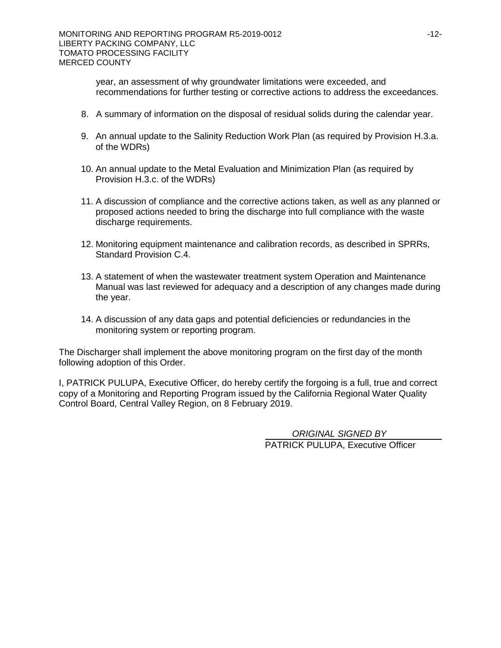year, an assessment of why groundwater limitations were exceeded, and recommendations for further testing or corrective actions to address the exceedances.

- 8. A summary of information on the disposal of residual solids during the calendar year.
- 9. An annual update to the Salinity Reduction Work Plan (as required by Provision H.3.a. of the WDRs)
- 10. An annual update to the Metal Evaluation and Minimization Plan (as required by Provision H.3.c. of the WDRs)
- 11. A discussion of compliance and the corrective actions taken, as well as any planned or proposed actions needed to bring the discharge into full compliance with the waste discharge requirements.
- 12. Monitoring equipment maintenance and calibration records, as described in SPRRs, Standard Provision C.4.
- 13. A statement of when the wastewater treatment system Operation and Maintenance Manual was last reviewed for adequacy and a description of any changes made during the year.
- 14. A discussion of any data gaps and potential deficiencies or redundancies in the monitoring system or reporting program.

The Discharger shall implement the above monitoring program on the first day of the month following adoption of this Order.

I, PATRICK PULUPA, Executive Officer, do hereby certify the forgoing is a full, true and correct copy of a Monitoring and Reporting Program issued by the California Regional Water Quality Control Board, Central Valley Region, on 8 February 2019.

> PATRICK PULUPA, Executive Officer *ORIGINAL SIGNED BY*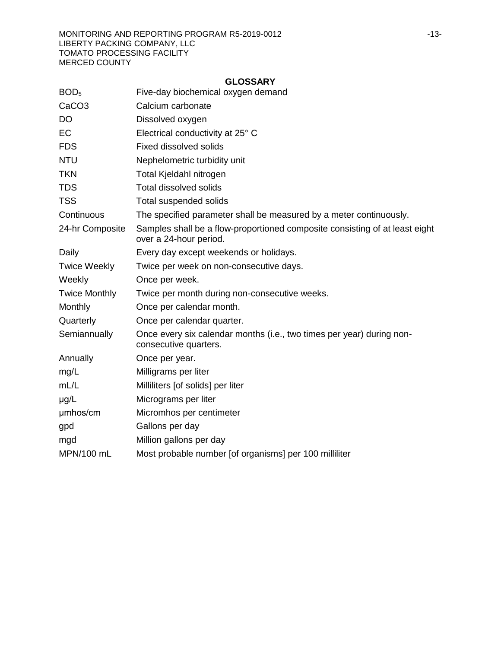|                      | <b>GLOSSARY</b>                                                                                       |
|----------------------|-------------------------------------------------------------------------------------------------------|
| BOD <sub>5</sub>     | Five-day biochemical oxygen demand                                                                    |
| CaCO <sub>3</sub>    | Calcium carbonate                                                                                     |
| DO                   | Dissolved oxygen                                                                                      |
| EС                   | Electrical conductivity at 25° C                                                                      |
| <b>FDS</b>           | <b>Fixed dissolved solids</b>                                                                         |
| NTU                  | Nephelometric turbidity unit                                                                          |
| TKN                  | Total Kjeldahl nitrogen                                                                               |
| TDS                  | <b>Total dissolved solids</b>                                                                         |
| TSS                  | Total suspended solids                                                                                |
| Continuous           | The specified parameter shall be measured by a meter continuously.                                    |
| 24-hr Composite      | Samples shall be a flow-proportioned composite consisting of at least eight<br>over a 24-hour period. |
| Daily                | Every day except weekends or holidays.                                                                |
| <b>Twice Weekly</b>  | Twice per week on non-consecutive days.                                                               |
| Weekly               | Once per week.                                                                                        |
| <b>Twice Monthly</b> | Twice per month during non-consecutive weeks.                                                         |
| Monthly              | Once per calendar month.                                                                              |
| Quarterly            | Once per calendar quarter.                                                                            |
| Semiannually         | Once every six calendar months (i.e., two times per year) during non-<br>consecutive quarters.        |
| Annually             | Once per year.                                                                                        |
| mg/L                 | Milligrams per liter                                                                                  |
| mL/L                 | Milliliters [of solids] per liter                                                                     |
| µg/L                 | Micrograms per liter                                                                                  |
| µmhos/cm             | Micromhos per centimeter                                                                              |
| gpd                  | Gallons per day                                                                                       |
| mgd                  | Million gallons per day                                                                               |
| MPN/100 mL           | Most probable number [of organisms] per 100 milliliter                                                |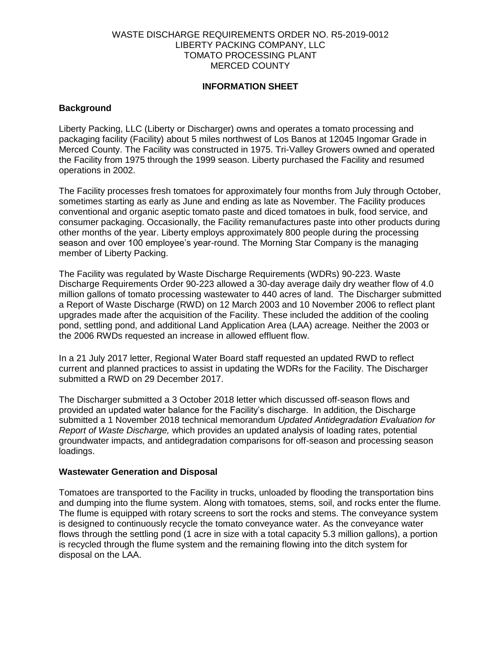## WASTE DISCHARGE REQUIREMENTS ORDER NO. R5-2019-0012 LIBERTY PACKING COMPANY, LLC TOMATO PROCESSING PLANT MERCED COUNTY

## **INFORMATION SHEET**

## **Background**

Liberty Packing, LLC (Liberty or Discharger) owns and operates a tomato processing and packaging facility (Facility) about 5 miles northwest of Los Banos at 12045 Ingomar Grade in Merced County. The Facility was constructed in 1975. Tri-Valley Growers owned and operated the Facility from 1975 through the 1999 season. Liberty purchased the Facility and resumed operations in 2002.

The Facility processes fresh tomatoes for approximately four months from July through October, sometimes starting as early as June and ending as late as November. The Facility produces conventional and organic aseptic tomato paste and diced tomatoes in bulk, food service, and consumer packaging. Occasionally, the Facility remanufactures paste into other products during other months of the year. Liberty employs approximately 800 people during the processing season and over 100 employee's year-round. The Morning Star Company is the managing member of Liberty Packing.

The Facility was regulated by Waste Discharge Requirements (WDRs) 90-223. Waste Discharge Requirements Order 90-223 allowed a 30-day average daily dry weather flow of 4.0 million gallons of tomato processing wastewater to 440 acres of land. The Discharger submitted a Report of Waste Discharge (RWD) on 12 March 2003 and 10 November 2006 to reflect plant upgrades made after the acquisition of the Facility. These included the addition of the cooling pond, settling pond, and additional Land Application Area (LAA) acreage. Neither the 2003 or the 2006 RWDs requested an increase in allowed effluent flow.

In a 21 July 2017 letter, Regional Water Board staff requested an updated RWD to reflect current and planned practices to assist in updating the WDRs for the Facility. The Discharger submitted a RWD on 29 December 2017.

The Discharger submitted a 3 October 2018 letter which discussed off-season flows and provided an updated water balance for the Facility's discharge. In addition, the Discharge submitted a 1 November 2018 technical memorandum *Updated Antidegradation Evaluation for Report of Waste Discharge,* which provides an updated analysis of loading rates, potential groundwater impacts, and antidegradation comparisons for off-season and processing season loadings.

### **Wastewater Generation and Disposal**

Tomatoes are transported to the Facility in trucks, unloaded by flooding the transportation bins and dumping into the flume system. Along with tomatoes, stems, soil, and rocks enter the flume. The flume is equipped with rotary screens to sort the rocks and stems. The conveyance system is designed to continuously recycle the tomato conveyance water. As the conveyance water flows through the settling pond (1 acre in size with a total capacity 5.3 million gallons), a portion is recycled through the flume system and the remaining flowing into the ditch system for disposal on the LAA.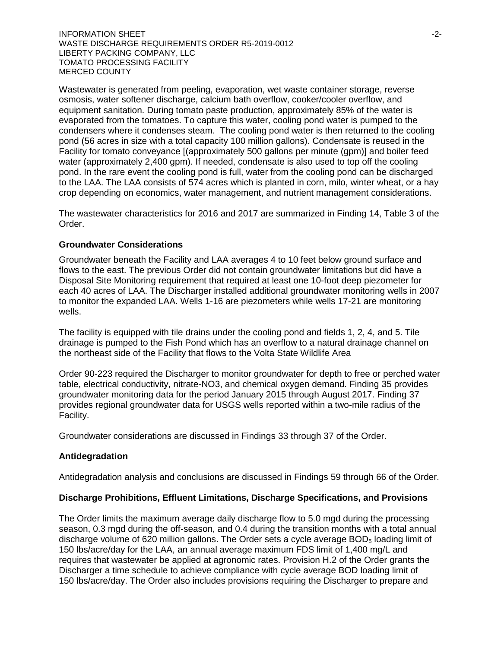**INFORMATION SHEET**  $\sim$ WASTE DISCHARGE REQUIREMENTS ORDER R5-2019-0012 LIBERTY PACKING COMPANY, LLC TOMATO PROCESSING FACILITY MERCED COUNTY

Wastewater is generated from peeling, evaporation, wet waste container storage, reverse osmosis, water softener discharge, calcium bath overflow, cooker/cooler overflow, and equipment sanitation. During tomato paste production, approximately 85% of the water is evaporated from the tomatoes. To capture this water, cooling pond water is pumped to the condensers where it condenses steam. The cooling pond water is then returned to the cooling pond (56 acres in size with a total capacity 100 million gallons). Condensate is reused in the Facility for tomato conveyance [(approximately 500 gallons per minute (gpm)] and boiler feed water (approximately 2,400 gpm). If needed, condensate is also used to top off the cooling pond. In the rare event the cooling pond is full, water from the cooling pond can be discharged to the LAA. The LAA consists of 574 acres which is planted in corn, milo, winter wheat, or a hay crop depending on economics, water management, and nutrient management considerations.

The wastewater characteristics for 2016 and 2017 are summarized in Finding 14, Table 3 of the Order.

### **Groundwater Considerations**

Groundwater beneath the Facility and LAA averages 4 to 10 feet below ground surface and flows to the east. The previous Order did not contain groundwater limitations but did have a Disposal Site Monitoring requirement that required at least one 10-foot deep piezometer for each 40 acres of LAA. The Discharger installed additional groundwater monitoring wells in 2007 to monitor the expanded LAA. Wells 1-16 are piezometers while wells 17-21 are monitoring wells.

The facility is equipped with tile drains under the cooling pond and fields 1, 2, 4, and 5. Tile drainage is pumped to the Fish Pond which has an overflow to a natural drainage channel on the northeast side of the Facility that flows to the Volta State Wildlife Area

Order 90-223 required the Discharger to monitor groundwater for depth to free or perched water table, electrical conductivity, nitrate-NO3, and chemical oxygen demand. Finding 35 provides groundwater monitoring data for the period January 2015 through August 2017. Finding 37 provides regional groundwater data for USGS wells reported within a two-mile radius of the Facility.

Groundwater considerations are discussed in Findings 33 through 37 of the Order.

### **Antidegradation**

Antidegradation analysis and conclusions are discussed in Findings 59 through 66 of the Order.

# **Discharge Prohibitions, Effluent Limitations, Discharge Specifications, and Provisions**

The Order limits the maximum average daily discharge flow to 5.0 mgd during the processing season, 0.3 mgd during the off-season, and 0.4 during the transition months with a total annual discharge volume of 620 million gallons. The Order sets a cycle average  $BOD<sub>5</sub>$  loading limit of 150 lbs/acre/day for the LAA, an annual average maximum FDS limit of 1,400 mg/L and requires that wastewater be applied at agronomic rates. Provision H.2 of the Order grants the Discharger a time schedule to achieve compliance with cycle average BOD loading limit of 150 lbs/acre/day. The Order also includes provisions requiring the Discharger to prepare and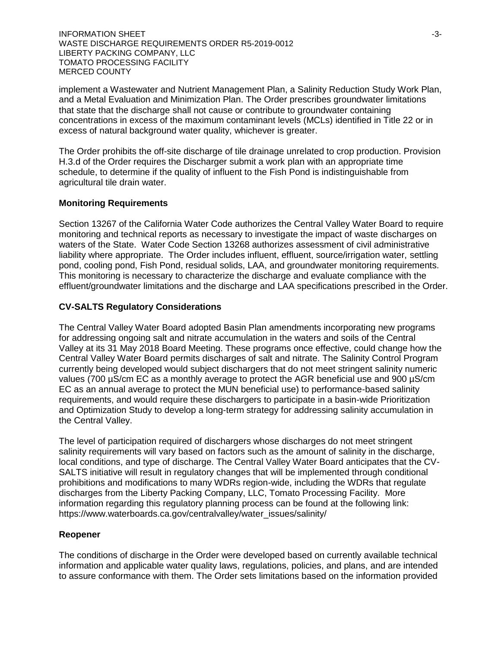$I$  INFORMATION SHEET  $\sim$  3-3-WASTE DISCHARGE REQUIREMENTS ORDER R5-2019-0012 LIBERTY PACKING COMPANY, LLC TOMATO PROCESSING FACILITY MERCED COUNTY

implement a Wastewater and Nutrient Management Plan, a Salinity Reduction Study Work Plan, and a Metal Evaluation and Minimization Plan. The Order prescribes groundwater limitations that state that the discharge shall not cause or contribute to groundwater containing concentrations in excess of the maximum contaminant levels (MCLs) identified in Title 22 or in excess of natural background water quality, whichever is greater.

The Order prohibits the off-site discharge of tile drainage unrelated to crop production. Provision H.3.d of the Order requires the Discharger submit a work plan with an appropriate time schedule, to determine if the quality of influent to the Fish Pond is indistinguishable from agricultural tile drain water.

## **Monitoring Requirements**

Section 13267 of the California Water Code authorizes the Central Valley Water Board to require monitoring and technical reports as necessary to investigate the impact of waste discharges on waters of the State. Water Code Section 13268 authorizes assessment of civil administrative liability where appropriate. The Order includes influent, effluent, source/irrigation water, settling pond, cooling pond, Fish Pond, residual solids, LAA, and groundwater monitoring requirements. This monitoring is necessary to characterize the discharge and evaluate compliance with the effluent/groundwater limitations and the discharge and LAA specifications prescribed in the Order.

# **CV-SALTS Regulatory Considerations**

The Central Valley Water Board adopted Basin Plan amendments incorporating new programs for addressing ongoing salt and nitrate accumulation in the waters and soils of the Central Valley at its 31 May 2018 Board Meeting. These programs once effective, could change how the Central Valley Water Board permits discharges of salt and nitrate. The Salinity Control Program currently being developed would subject dischargers that do not meet stringent salinity numeric values (700 µS/cm EC as a monthly average to protect the AGR beneficial use and 900 µS/cm EC as an annual average to protect the MUN beneficial use) to performance-based salinity requirements, and would require these dischargers to participate in a basin-wide Prioritization and Optimization Study to develop a long-term strategy for addressing salinity accumulation in the Central Valley.

The level of participation required of dischargers whose discharges do not meet stringent salinity requirements will vary based on factors such as the amount of salinity in the discharge, local conditions, and type of discharge. The Central Valley Water Board anticipates that the CV-SALTS initiative will result in regulatory changes that will be implemented through conditional prohibitions and modifications to many WDRs region-wide, including the WDRs that regulate discharges from the Liberty Packing Company, LLC, Tomato Processing Facility. More information regarding this regulatory planning process can be found at the following link: https://www.waterboards.ca.gov/centralvalley/water\_issues/salinity/

### **Reopener**

The conditions of discharge in the Order were developed based on currently available technical information and applicable water quality laws, regulations, policies, and plans, and are intended to assure conformance with them. The Order sets limitations based on the information provided